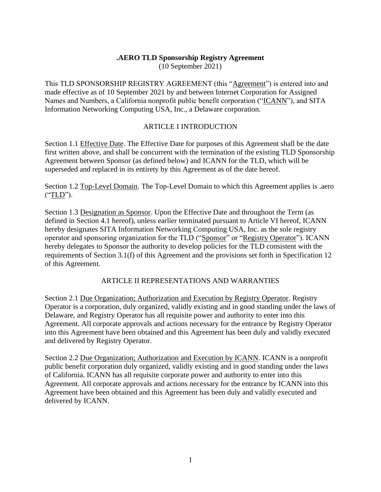### **.AERO TLD Sponsorship Registry Agreement**

(10 September 2021)

This TLD SPONSORSHIP REGISTRY AGREEMENT (this "Agreement") is entered into and made effective as of 10 September 2021 by and between Internet Corporation for Assigned Names and Numbers, a California nonprofit public benefit corporation ("ICANN"), and SITA Information Networking Computing USA, Inc., a Delaware corporation.

### ARTICLE I INTRODUCTION

Section 1.1 Effective Date. The Effective Date for purposes of this Agreement shall be the date first written above, and shall be concurrent with the termination of the existing TLD Sponsorship Agreement between Sponsor (as defined below) and ICANN for the TLD, which will be superseded and replaced in its entirety by this Agreement as of the date hereof.

Section 1.2 Top-Level Domain. The Top-Level Domain to which this Agreement applies is .aero ("TLD").

Section 1.3 Designation as Sponsor. Upon the Effective Date and throughout the Term (as defined in Section 4.1 hereof), unless earlier terminated pursuant to Article VI hereof, ICANN hereby designates SITA Information Networking Computing USA, Inc. as the sole registry operator and sponsoring organization for the TLD ("Sponsor" or "Registry Operator"). ICANN hereby delegates to Sponsor the authority to develop policies for the TLD consistent with the requirements of Section 3.1(f) of this Agreement and the provisions set forth in Specification 12 of this Agreement.

# ARTICLE II REPRESENTATIONS AND WARRANTIES

Section 2.1 Due Organization; Authorization and Execution by Registry Operator. Registry Operator is a corporation, duly organized, validly existing and in good standing under the laws of Delaware, and Registry Operator has all requisite power and authority to enter into this Agreement. All corporate approvals and actions necessary for the entrance by Registry Operator into this Agreement have been obtained and this Agreement has been duly and validly executed and delivered by Registry Operator.

Section 2.2 Due Organization; Authorization and Execution by ICANN. ICANN is a nonprofit public benefit corporation duly organized, validly existing and in good standing under the laws of California. ICANN has all requisite corporate power and authority to enter into this Agreement. All corporate approvals and actions necessary for the entrance by ICANN into this Agreement have been obtained and this Agreement has been duly and validly executed and delivered by ICANN.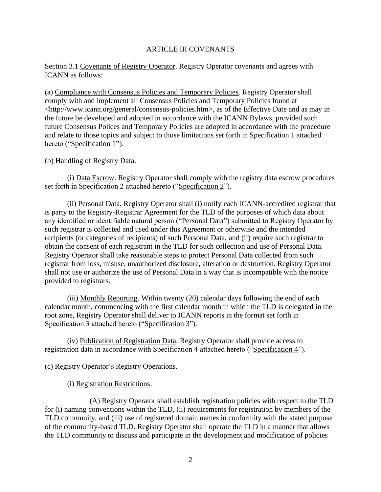#### ARTICLE III COVENANTS

#### Section 3.1 Covenants of Registry Operator. Registry Operator covenants and agrees with ICANN as follows:

(a) Compliance with Consensus Policies and Temporary Policies. Registry Operator shall comply with and implement all Consensus Policies and Temporary Policies found at <http://www.icann.org/general/consensus-policies.htm>, as of the Effective Date and as may in the future be developed and adopted in accordance with the ICANN Bylaws, provided such future Consensus Polices and Temporary Policies are adopted in accordance with the procedure and relate to those topics and subject to those limitations set forth in Specification 1 attached hereto ("Specification 1").

#### (b) Handling of Registry Data.

(i) Data Escrow. Registry Operator shall comply with the registry data escrow procedures set forth in Specification 2 attached hereto ("Specification 2").

(ii) Personal Data. Registry Operator shall (i) notify each ICANN-accredited registrar that is party to the Registry-Registrar Agreement for the TLD of the purposes of which data about any identified or identifiable natural person ("Personal Data") submitted to Registry Operator by such registrar is collected and used under this Agreement or otherwise and the intended recipients (or categories of recipients) of such Personal Data, and (ii) require such registrar to obtain the consent of each registrant in the TLD for such collection and use of Personal Data. Registry Operator shall take reasonable steps to protect Personal Data collected from such registrar from loss, misuse, unauthorized disclosure, alteration or destruction. Registry Operator shall not use or authorize the use of Personal Data in a way that is incompatible with the notice provided to registrars.

(iii) Monthly Reporting. Within twenty (20) calendar days following the end of each calendar month, commencing with the first calendar month in which the TLD is delegated in the root zone, Registry Operator shall deliver to ICANN reports in the format set forth in Specification 3 attached hereto ("Specification 3").

(iv) Publication of Registration Data. Registry Operator shall provide access to registration data in accordance with Specification 4 attached hereto ("Specification 4").

#### (c) Registry Operator's Registry Operations.

(i) Registration Restrictions.

(A) Registry Operator shall establish registration policies with respect to the TLD for (i) naming conventions within the TLD, (ii) requirements for registration by members of the TLD community, and (iii) use of registered domain names in conformity with the stated purpose of the community-based TLD. Registry Operator shall operate the TLD in a manner that allows the TLD community to discuss and participate in the development and modification of policies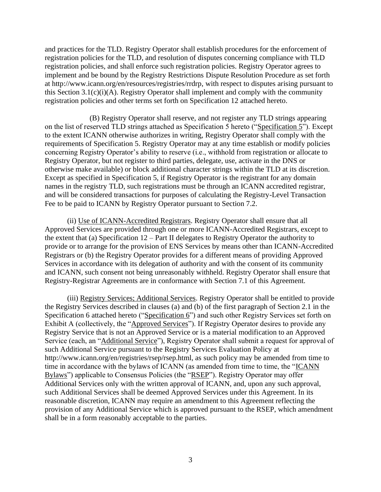and practices for the TLD. Registry Operator shall establish procedures for the enforcement of registration policies for the TLD, and resolution of disputes concerning compliance with TLD registration policies, and shall enforce such registration policies. Registry Operator agrees to implement and be bound by the Registry Restrictions Dispute Resolution Procedure as set forth at http://www.icann.org/en/resources/registries/rrdrp, with respect to disputes arising pursuant to this Section 3.1(c)(i)(A). Registry Operator shall implement and comply with the community registration policies and other terms set forth on Specification 12 attached hereto.

(B) Registry Operator shall reserve, and not register any TLD strings appearing on the list of reserved TLD strings attached as Specification 5 hereto ("Specification 5"). Except to the extent ICANN otherwise authorizes in writing, Registry Operator shall comply with the requirements of Specification 5. Registry Operator may at any time establish or modify policies concerning Registry Operator's ability to reserve (i.e., withhold from registration or allocate to Registry Operator, but not register to third parties, delegate, use, activate in the DNS or otherwise make available) or block additional character strings within the TLD at its discretion. Except as specified in Specification 5, if Registry Operator is the registrant for any domain names in the registry TLD, such registrations must be through an ICANN accredited registrar, and will be considered transactions for purposes of calculating the Registry-Level Transaction Fee to be paid to ICANN by Registry Operator pursuant to Section 7.2.

(ii) Use of ICANN-Accredited Registrars. Registry Operator shall ensure that all Approved Services are provided through one or more ICANN-Accredited Registrars, except to the extent that (a) Specification 12 – Part II delegates to Registry Operator the authority to provide or to arrange for the provision of ENS Services by means other than ICANN-Accredited Registrars or (b) the Registry Operator provides for a different means of providing Approved Services in accordance with its delegation of authority and with the consent of its community and ICANN, such consent not being unreasonably withheld. Registry Operator shall ensure that Registry-Registrar Agreements are in conformance with Section 7.1 of this Agreement.

(iii) Registry Services; Additional Services. Registry Operator shall be entitled to provide the Registry Services described in clauses (a) and (b) of the first paragraph of Section 2.1 in the Specification 6 attached hereto ("Specification 6") and such other Registry Services set forth on Exhibit A (collectively, the "Approved Services"). If Registry Operator desires to provide any Registry Service that is not an Approved Service or is a material modification to an Approved Service (each, an "Additional Service"), Registry Operator shall submit a request for approval of such Additional Service pursuant to the Registry Services Evaluation Policy at http://www.icann.org/en/registries/rsep/rsep.html, as such policy may be amended from time to time in accordance with the bylaws of ICANN (as amended from time to time, the "ICANN Bylaws") applicable to Consensus Policies (the "RSEP"). Registry Operator may offer Additional Services only with the written approval of ICANN, and, upon any such approval, such Additional Services shall be deemed Approved Services under this Agreement. In its reasonable discretion, ICANN may require an amendment to this Agreement reflecting the provision of any Additional Service which is approved pursuant to the RSEP, which amendment shall be in a form reasonably acceptable to the parties.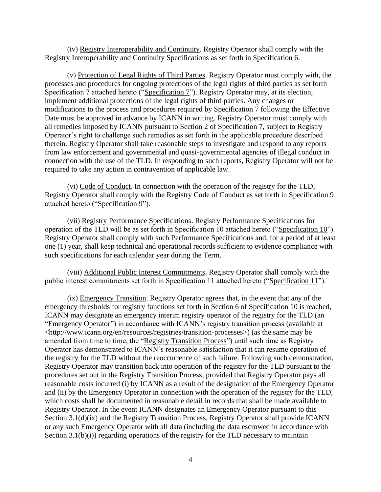(iv) Registry Interoperability and Continuity. Registry Operator shall comply with the Registry Interoperability and Continuity Specifications as set forth in Specification 6.

(v) Protection of Legal Rights of Third Parties. Registry Operator must comply with, the processes and procedures for ongoing protections of the legal rights of third parties as set forth Specification 7 attached hereto ("Specification 7"). Registry Operator may, at its election, implement additional protections of the legal rights of third parties. Any changes or modifications to the process and procedures required by Specification 7 following the Effective Date must be approved in advance by ICANN in writing. Registry Operator must comply with all remedies imposed by ICANN pursuant to Section 2 of Specification 7, subject to Registry Operator's right to challenge such remedies as set forth in the applicable procedure described therein. Registry Operator shall take reasonable steps to investigate and respond to any reports from law enforcement and governmental and quasi-governmental agencies of illegal conduct in connection with the use of the TLD. In responding to such reports, Registry Operator will not be required to take any action in contravention of applicable law.

(vi) Code of Conduct. In connection with the operation of the registry for the TLD, Registry Operator shall comply with the Registry Code of Conduct as set forth in Specification 9 attached hereto ("Specification 9").

(vii) Registry Performance Specifications. Registry Performance Specifications for operation of the TLD will be as set forth in Specification 10 attached hereto ("Specification 10"). Registry Operator shall comply with such Performance Specifications and, for a period of at least one (1) year, shall keep technical and operational records sufficient to evidence compliance with such specifications for each calendar year during the Term.

(viii) Additional Public Interest Commitments. Registry Operator shall comply with the public interest commitments set forth in Specification 11 attached hereto ("Specification 11").

(ix) Emergency Transition. Registry Operator agrees that, in the event that any of the emergency thresholds for registry functions set forth in Section 6 of Specification 10 is reached, ICANN may designate an emergency interim registry operator of the registry for the TLD (an "Emergency Operator") in accordance with ICANN's registry transition process (available at <http://www.icann.org/en/resources/registries/transition-processes>) (as the same may be amended from time to time, the "Registry Transition Process") until such time as Registry Operator has demonstrated to ICANN's reasonable satisfaction that it can resume operation of the registry for the TLD without the reoccurrence of such failure. Following such demonstration, Registry Operator may transition back into operation of the registry for the TLD pursuant to the procedures set out in the Registry Transition Process, provided that Registry Operator pays all reasonable costs incurred (i) by ICANN as a result of the designation of the Emergency Operator and (ii) by the Emergency Operator in connection with the operation of the registry for the TLD, which costs shall be documented in reasonable detail in records that shall be made available to Registry Operator. In the event ICANN designates an Emergency Operator pursuant to this Section 3.1(d)(ix) and the Registry Transition Process, Registry Operator shall provide ICANN or any such Emergency Operator with all data (including the data escrowed in accordance with Section 3.1(b)(i)) regarding operations of the registry for the TLD necessary to maintain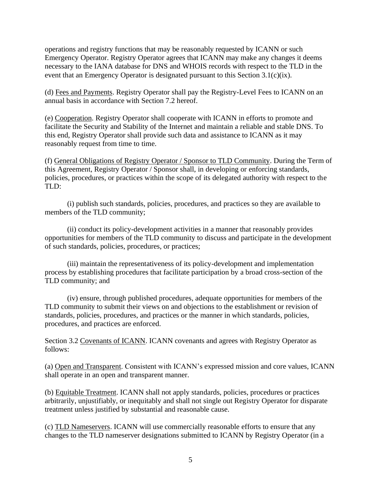operations and registry functions that may be reasonably requested by ICANN or such Emergency Operator. Registry Operator agrees that ICANN may make any changes it deems necessary to the IANA database for DNS and WHOIS records with respect to the TLD in the event that an Emergency Operator is designated pursuant to this Section 3.1(c)(ix).

(d) Fees and Payments. Registry Operator shall pay the Registry-Level Fees to ICANN on an annual basis in accordance with Section 7.2 hereof.

(e) Cooperation. Registry Operator shall cooperate with ICANN in efforts to promote and facilitate the Security and Stability of the Internet and maintain a reliable and stable DNS. To this end, Registry Operator shall provide such data and assistance to ICANN as it may reasonably request from time to time.

(f) General Obligations of Registry Operator / Sponsor to TLD Community. During the Term of this Agreement, Registry Operator / Sponsor shall, in developing or enforcing standards, policies, procedures, or practices within the scope of its delegated authority with respect to the TLD:

(i) publish such standards, policies, procedures, and practices so they are available to members of the TLD community;

(ii) conduct its policy-development activities in a manner that reasonably provides opportunities for members of the TLD community to discuss and participate in the development of such standards, policies, procedures, or practices;

(iii) maintain the representativeness of its policy-development and implementation process by establishing procedures that facilitate participation by a broad cross-section of the TLD community; and

(iv) ensure, through published procedures, adequate opportunities for members of the TLD community to submit their views on and objections to the establishment or revision of standards, policies, procedures, and practices or the manner in which standards, policies, procedures, and practices are enforced.

Section 3.2 Covenants of ICANN. ICANN covenants and agrees with Registry Operator as follows:

(a) Open and Transparent. Consistent with ICANN's expressed mission and core values, ICANN shall operate in an open and transparent manner.

(b) Equitable Treatment. ICANN shall not apply standards, policies, procedures or practices arbitrarily, unjustifiably, or inequitably and shall not single out Registry Operator for disparate treatment unless justified by substantial and reasonable cause.

(c) TLD Nameservers. ICANN will use commercially reasonable efforts to ensure that any changes to the TLD nameserver designations submitted to ICANN by Registry Operator (in a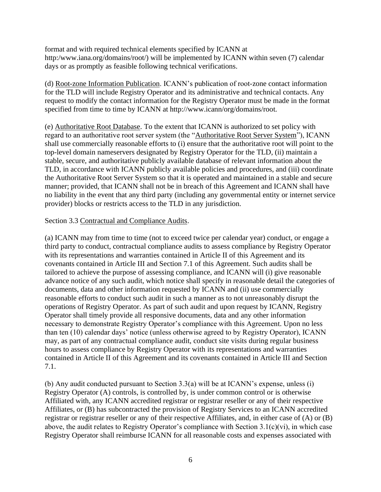format and with required technical elements specified by ICANN at http:/www.iana.org/domains/root/) will be implemented by ICANN within seven (7) calendar days or as promptly as feasible following technical verifications.

(d) Root-zone Information Publication. ICANN's publication of root-zone contact information for the TLD will include Registry Operator and its administrative and technical contacts. Any request to modify the contact information for the Registry Operator must be made in the format specified from time to time by ICANN at http://www.icann/org/domains/root.

(e) Authoritative Root Database. To the extent that ICANN is authorized to set policy with regard to an authoritative root server system (the "Authoritative Root Server System"), ICANN shall use commercially reasonable efforts to (i) ensure that the authoritative root will point to the top-level domain nameservers designated by Registry Operator for the TLD, (ii) maintain a stable, secure, and authoritative publicly available database of relevant information about the TLD, in accordance with ICANN publicly available policies and procedures, and (iii) coordinate the Authoritative Root Server System so that it is operated and maintained in a stable and secure manner; provided, that ICANN shall not be in breach of this Agreement and ICANN shall have no liability in the event that any third party (including any governmental entity or internet service provider) blocks or restricts access to the TLD in any jurisdiction.

### Section 3.3 Contractual and Compliance Audits.

(a) ICANN may from time to time (not to exceed twice per calendar year) conduct, or engage a third party to conduct, contractual compliance audits to assess compliance by Registry Operator with its representations and warranties contained in Article II of this Agreement and its covenants contained in Article III and Section 7.1 of this Agreement. Such audits shall be tailored to achieve the purpose of assessing compliance, and ICANN will (i) give reasonable advance notice of any such audit, which notice shall specify in reasonable detail the categories of documents, data and other information requested by ICANN and (ii) use commercially reasonable efforts to conduct such audit in such a manner as to not unreasonably disrupt the operations of Registry Operator. As part of such audit and upon request by ICANN, Registry Operator shall timely provide all responsive documents, data and any other information necessary to demonstrate Registry Operator's compliance with this Agreement. Upon no less than ten (10) calendar days' notice (unless otherwise agreed to by Registry Operator), ICANN may, as part of any contractual compliance audit, conduct site visits during regular business hours to assess compliance by Registry Operator with its representations and warranties contained in Article II of this Agreement and its covenants contained in Article III and Section 7.1.

(b) Any audit conducted pursuant to Section 3.3(a) will be at ICANN's expense, unless (i) Registry Operator (A) controls, is controlled by, is under common control or is otherwise Affiliated with, any ICANN accredited registrar or registrar reseller or any of their respective Affiliates, or (B) has subcontracted the provision of Registry Services to an ICANN accredited registrar or registrar reseller or any of their respective Affiliates, and, in either case of (A) or (B) above, the audit relates to Registry Operator's compliance with Section 3.1(c)(vi), in which case Registry Operator shall reimburse ICANN for all reasonable costs and expenses associated with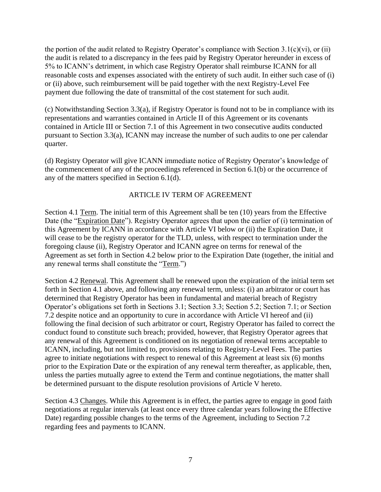the portion of the audit related to Registry Operator's compliance with Section  $3.1(c)(vi)$ , or (ii) the audit is related to a discrepancy in the fees paid by Registry Operator hereunder in excess of 5% to ICANN's detriment, in which case Registry Operator shall reimburse ICANN for all reasonable costs and expenses associated with the entirety of such audit. In either such case of (i) or (ii) above, such reimbursement will be paid together with the next Registry-Level Fee payment due following the date of transmittal of the cost statement for such audit.

(c) Notwithstanding Section 3.3(a), if Registry Operator is found not to be in compliance with its representations and warranties contained in Article II of this Agreement or its covenants contained in Article III or Section 7.1 of this Agreement in two consecutive audits conducted pursuant to Section 3.3(a), ICANN may increase the number of such audits to one per calendar quarter.

(d) Registry Operator will give ICANN immediate notice of Registry Operator's knowledge of the commencement of any of the proceedings referenced in Section 6.1(b) or the occurrence of any of the matters specified in Section 6.1(d).

# ARTICLE IV TERM OF AGREEMENT

Section 4.1 Term. The initial term of this Agreement shall be ten (10) years from the Effective Date (the "Expiration Date"). Registry Operator agrees that upon the earlier of (i) termination of this Agreement by ICANN in accordance with Article VI below or (ii) the Expiration Date, it will cease to be the registry operator for the TLD, unless, with respect to termination under the foregoing clause (ii), Registry Operator and ICANN agree on terms for renewal of the Agreement as set forth in Section 4.2 below prior to the Expiration Date (together, the initial and any renewal terms shall constitute the "Term.")

Section 4.2 Renewal. This Agreement shall be renewed upon the expiration of the initial term set forth in Section 4.1 above, and following any renewal term, unless: (i) an arbitrator or court has determined that Registry Operator has been in fundamental and material breach of Registry Operator's obligations set forth in Sections 3.1; Section 3.3; Section 5.2; Section 7.1; or Section 7.2 despite notice and an opportunity to cure in accordance with Article VI hereof and (ii) following the final decision of such arbitrator or court, Registry Operator has failed to correct the conduct found to constitute such breach; provided, however, that Registry Operator agrees that any renewal of this Agreement is conditioned on its negotiation of renewal terms acceptable to ICANN, including, but not limited to, provisions relating to Registry-Level Fees. The parties agree to initiate negotiations with respect to renewal of this Agreement at least six (6) months prior to the Expiration Date or the expiration of any renewal term thereafter, as applicable, then, unless the parties mutually agree to extend the Term and continue negotiations, the matter shall be determined pursuant to the dispute resolution provisions of Article V hereto.

Section 4.3 Changes. While this Agreement is in effect, the parties agree to engage in good faith negotiations at regular intervals (at least once every three calendar years following the Effective Date) regarding possible changes to the terms of the Agreement, including to Section 7.2 regarding fees and payments to ICANN.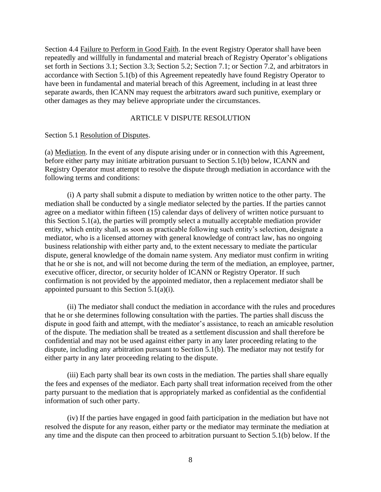Section 4.4 Failure to Perform in Good Faith. In the event Registry Operator shall have been repeatedly and willfully in fundamental and material breach of Registry Operator's obligations set forth in Sections 3.1; Section 3.3; Section 5.2; Section 7.1; or Section 7.2, and arbitrators in accordance with Section 5.1(b) of this Agreement repeatedly have found Registry Operator to have been in fundamental and material breach of this Agreement, including in at least three separate awards, then ICANN may request the arbitrators award such punitive, exemplary or other damages as they may believe appropriate under the circumstances.

#### ARTICLE V DISPUTE RESOLUTION

Section 5.1 Resolution of Disputes.

(a) Mediation. In the event of any dispute arising under or in connection with this Agreement, before either party may initiate arbitration pursuant to Section 5.1(b) below, ICANN and Registry Operator must attempt to resolve the dispute through mediation in accordance with the following terms and conditions:

(i) A party shall submit a dispute to mediation by written notice to the other party. The mediation shall be conducted by a single mediator selected by the parties. If the parties cannot agree on a mediator within fifteen (15) calendar days of delivery of written notice pursuant to this Section 5.1(a), the parties will promptly select a mutually acceptable mediation provider entity, which entity shall, as soon as practicable following such entity's selection, designate a mediator, who is a licensed attorney with general knowledge of contract law, has no ongoing business relationship with either party and, to the extent necessary to mediate the particular dispute, general knowledge of the domain name system. Any mediator must confirm in writing that he or she is not, and will not become during the term of the mediation, an employee, partner, executive officer, director, or security holder of ICANN or Registry Operator. If such confirmation is not provided by the appointed mediator, then a replacement mediator shall be appointed pursuant to this Section 5.1(a)(i).

(ii) The mediator shall conduct the mediation in accordance with the rules and procedures that he or she determines following consultation with the parties. The parties shall discuss the dispute in good faith and attempt, with the mediator's assistance, to reach an amicable resolution of the dispute. The mediation shall be treated as a settlement discussion and shall therefore be confidential and may not be used against either party in any later proceeding relating to the dispute, including any arbitration pursuant to Section 5.1(b). The mediator may not testify for either party in any later proceeding relating to the dispute.

(iii) Each party shall bear its own costs in the mediation. The parties shall share equally the fees and expenses of the mediator. Each party shall treat information received from the other party pursuant to the mediation that is appropriately marked as confidential as the confidential information of such other party.

(iv) If the parties have engaged in good faith participation in the mediation but have not resolved the dispute for any reason, either party or the mediator may terminate the mediation at any time and the dispute can then proceed to arbitration pursuant to Section 5.1(b) below. If the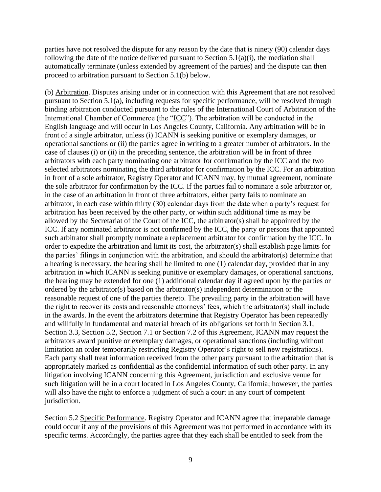parties have not resolved the dispute for any reason by the date that is ninety (90) calendar days following the date of the notice delivered pursuant to Section  $5.1(a)(i)$ , the mediation shall automatically terminate (unless extended by agreement of the parties) and the dispute can then proceed to arbitration pursuant to Section 5.1(b) below.

(b) Arbitration. Disputes arising under or in connection with this Agreement that are not resolved pursuant to Section 5.1(a), including requests for specific performance, will be resolved through binding arbitration conducted pursuant to the rules of the International Court of Arbitration of the International Chamber of Commerce (the "ICC"). The arbitration will be conducted in the English language and will occur in Los Angeles County, California. Any arbitration will be in front of a single arbitrator, unless (i) ICANN is seeking punitive or exemplary damages, or operational sanctions or (ii) the parties agree in writing to a greater number of arbitrators. In the case of clauses (i) or (ii) in the preceding sentence, the arbitration will be in front of three arbitrators with each party nominating one arbitrator for confirmation by the ICC and the two selected arbitrators nominating the third arbitrator for confirmation by the ICC. For an arbitration in front of a sole arbitrator, Registry Operator and ICANN may, by mutual agreement, nominate the sole arbitrator for confirmation by the ICC. If the parties fail to nominate a sole arbitrator or, in the case of an arbitration in front of three arbitrators, either party fails to nominate an arbitrator, in each case within thirty (30) calendar days from the date when a party's request for arbitration has been received by the other party, or within such additional time as may be allowed by the Secretariat of the Court of the ICC, the arbitrator(s) shall be appointed by the ICC. If any nominated arbitrator is not confirmed by the ICC, the party or persons that appointed such arbitrator shall promptly nominate a replacement arbitrator for confirmation by the ICC. In order to expedite the arbitration and limit its cost, the arbitrator(s) shall establish page limits for the parties' filings in conjunction with the arbitration, and should the arbitrator(s) determine that a hearing is necessary, the hearing shall be limited to one (1) calendar day, provided that in any arbitration in which ICANN is seeking punitive or exemplary damages, or operational sanctions, the hearing may be extended for one (1) additional calendar day if agreed upon by the parties or ordered by the arbitrator(s) based on the arbitrator(s) independent determination or the reasonable request of one of the parties thereto. The prevailing party in the arbitration will have the right to recover its costs and reasonable attorneys' fees, which the arbitrator(s) shall include in the awards. In the event the arbitrators determine that Registry Operator has been repeatedly and willfully in fundamental and material breach of its obligations set forth in Section 3.1, Section 3.3, Section 5.2, Section 7.1 or Section 7.2 of this Agreement, ICANN may request the arbitrators award punitive or exemplary damages, or operational sanctions (including without limitation an order temporarily restricting Registry Operator's right to sell new registrations). Each party shall treat information received from the other party pursuant to the arbitration that is appropriately marked as confidential as the confidential information of such other party. In any litigation involving ICANN concerning this Agreement, jurisdiction and exclusive venue for such litigation will be in a court located in Los Angeles County, California; however, the parties will also have the right to enforce a judgment of such a court in any court of competent jurisdiction.

Section 5.2 Specific Performance. Registry Operator and ICANN agree that irreparable damage could occur if any of the provisions of this Agreement was not performed in accordance with its specific terms. Accordingly, the parties agree that they each shall be entitled to seek from the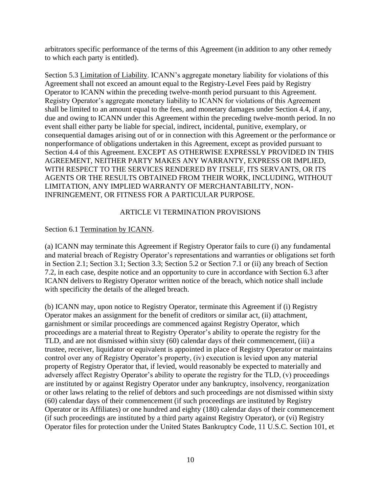arbitrators specific performance of the terms of this Agreement (in addition to any other remedy to which each party is entitled).

Section 5.3 Limitation of Liability. ICANN's aggregate monetary liability for violations of this Agreement shall not exceed an amount equal to the Registry-Level Fees paid by Registry Operator to ICANN within the preceding twelve-month period pursuant to this Agreement. Registry Operator's aggregate monetary liability to ICANN for violations of this Agreement shall be limited to an amount equal to the fees, and monetary damages under Section 4.4, if any, due and owing to ICANN under this Agreement within the preceding twelve-month period. In no event shall either party be liable for special, indirect, incidental, punitive, exemplary, or consequential damages arising out of or in connection with this Agreement or the performance or nonperformance of obligations undertaken in this Agreement, except as provided pursuant to Section 4.4 of this Agreement. EXCEPT AS OTHERWISE EXPRESSLY PROVIDED IN THIS AGREEMENT, NEITHER PARTY MAKES ANY WARRANTY, EXPRESS OR IMPLIED, WITH RESPECT TO THE SERVICES RENDERED BY ITSELF, ITS SERVANTS, OR ITS AGENTS OR THE RESULTS OBTAINED FROM THEIR WORK, INCLUDING, WITHOUT LIMITATION, ANY IMPLIED WARRANTY OF MERCHANTABILITY, NON-INFRINGEMENT, OR FITNESS FOR A PARTICULAR PURPOSE.

# ARTICLE VI TERMINATION PROVISIONS

### Section 6.1 Termination by ICANN.

(a) ICANN may terminate this Agreement if Registry Operator fails to cure (i) any fundamental and material breach of Registry Operator's representations and warranties or obligations set forth in Section 2.1; Section 3.1; Section 3.3; Section 5.2 or Section 7.1 or (ii) any breach of Section 7.2, in each case, despite notice and an opportunity to cure in accordance with Section 6.3 after ICANN delivers to Registry Operator written notice of the breach, which notice shall include with specificity the details of the alleged breach.

(b) ICANN may, upon notice to Registry Operator, terminate this Agreement if (i) Registry Operator makes an assignment for the benefit of creditors or similar act, (ii) attachment, garnishment or similar proceedings are commenced against Registry Operator, which proceedings are a material threat to Registry Operator's ability to operate the registry for the TLD, and are not dismissed within sixty (60) calendar days of their commencement, (iii) a trustee, receiver, liquidator or equivalent is appointed in place of Registry Operator or maintains control over any of Registry Operator's property, (iv) execution is levied upon any material property of Registry Operator that, if levied, would reasonably be expected to materially and adversely affect Registry Operator's ability to operate the registry for the TLD, (v) proceedings are instituted by or against Registry Operator under any bankruptcy, insolvency, reorganization or other laws relating to the relief of debtors and such proceedings are not dismissed within sixty (60) calendar days of their commencement (if such proceedings are instituted by Registry Operator or its Affiliates) or one hundred and eighty (180) calendar days of their commencement (if such proceedings are instituted by a third party against Registry Operator), or (vi) Registry Operator files for protection under the United States Bankruptcy Code, 11 U.S.C. Section 101, et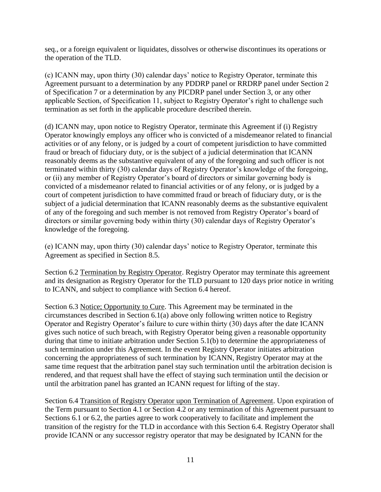seq., or a foreign equivalent or liquidates, dissolves or otherwise discontinues its operations or the operation of the TLD.

(c) ICANN may, upon thirty (30) calendar days' notice to Registry Operator, terminate this Agreement pursuant to a determination by any PDDRP panel or RRDRP panel under Section 2 of Specification 7 or a determination by any PICDRP panel under Section 3, or any other applicable Section, of Specification 11, subject to Registry Operator's right to challenge such termination as set forth in the applicable procedure described therein.

(d) ICANN may, upon notice to Registry Operator, terminate this Agreement if (i) Registry Operator knowingly employs any officer who is convicted of a misdemeanor related to financial activities or of any felony, or is judged by a court of competent jurisdiction to have committed fraud or breach of fiduciary duty, or is the subject of a judicial determination that ICANN reasonably deems as the substantive equivalent of any of the foregoing and such officer is not terminated within thirty (30) calendar days of Registry Operator's knowledge of the foregoing, or (ii) any member of Registry Operator's board of directors or similar governing body is convicted of a misdemeanor related to financial activities or of any felony, or is judged by a court of competent jurisdiction to have committed fraud or breach of fiduciary duty, or is the subject of a judicial determination that ICANN reasonably deems as the substantive equivalent of any of the foregoing and such member is not removed from Registry Operator's board of directors or similar governing body within thirty (30) calendar days of Registry Operator's knowledge of the foregoing.

(e) ICANN may, upon thirty (30) calendar days' notice to Registry Operator, terminate this Agreement as specified in Section 8.5.

Section 6.2 Termination by Registry Operator. Registry Operator may terminate this agreement and its designation as Registry Operator for the TLD pursuant to 120 days prior notice in writing to ICANN, and subject to compliance with Section 6.4 hereof.

Section 6.3 Notice; Opportunity to Cure. This Agreement may be terminated in the circumstances described in Section 6.1(a) above only following written notice to Registry Operator and Registry Operator's failure to cure within thirty (30) days after the date ICANN gives such notice of such breach, with Registry Operator being given a reasonable opportunity during that time to initiate arbitration under Section 5.1(b) to determine the appropriateness of such termination under this Agreement. In the event Registry Operator initiates arbitration concerning the appropriateness of such termination by ICANN, Registry Operator may at the same time request that the arbitration panel stay such termination until the arbitration decision is rendered, and that request shall have the effect of staying such termination until the decision or until the arbitration panel has granted an ICANN request for lifting of the stay.

Section 6.4 Transition of Registry Operator upon Termination of Agreement. Upon expiration of the Term pursuant to Section 4.1 or Section 4.2 or any termination of this Agreement pursuant to Sections 6.1 or 6.2, the parties agree to work cooperatively to facilitate and implement the transition of the registry for the TLD in accordance with this Section 6.4. Registry Operator shall provide ICANN or any successor registry operator that may be designated by ICANN for the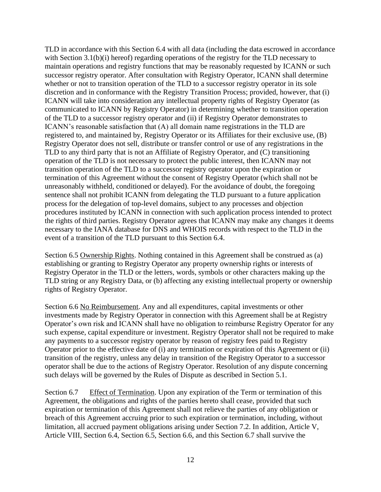TLD in accordance with this Section 6.4 with all data (including the data escrowed in accordance with Section 3.1(b)(i) hereof) regarding operations of the registry for the TLD necessary to maintain operations and registry functions that may be reasonably requested by ICANN or such successor registry operator. After consultation with Registry Operator, ICANN shall determine whether or not to transition operation of the TLD to a successor registry operator in its sole discretion and in conformance with the Registry Transition Process; provided, however, that (i) ICANN will take into consideration any intellectual property rights of Registry Operator (as communicated to ICANN by Registry Operator) in determining whether to transition operation of the TLD to a successor registry operator and (ii) if Registry Operator demonstrates to ICANN's reasonable satisfaction that (A) all domain name registrations in the TLD are registered to, and maintained by, Registry Operator or its Affiliates for their exclusive use, (B) Registry Operator does not sell, distribute or transfer control or use of any registrations in the TLD to any third party that is not an Affiliate of Registry Operator, and (C) transitioning operation of the TLD is not necessary to protect the public interest, then ICANN may not transition operation of the TLD to a successor registry operator upon the expiration or termination of this Agreement without the consent of Registry Operator (which shall not be unreasonably withheld, conditioned or delayed). For the avoidance of doubt, the foregoing sentence shall not prohibit ICANN from delegating the TLD pursuant to a future application process for the delegation of top-level domains, subject to any processes and objection procedures instituted by ICANN in connection with such application process intended to protect the rights of third parties. Registry Operator agrees that ICANN may make any changes it deems necessary to the IANA database for DNS and WHOIS records with respect to the TLD in the event of a transition of the TLD pursuant to this Section 6.4.

Section 6.5 Ownership Rights. Nothing contained in this Agreement shall be construed as (a) establishing or granting to Registry Operator any property ownership rights or interests of Registry Operator in the TLD or the letters, words, symbols or other characters making up the TLD string or any Registry Data, or (b) affecting any existing intellectual property or ownership rights of Registry Operator.

Section 6.6 No Reimbursement. Any and all expenditures, capital investments or other investments made by Registry Operator in connection with this Agreement shall be at Registry Operator's own risk and ICANN shall have no obligation to reimburse Registry Operator for any such expense, capital expenditure or investment. Registry Operator shall not be required to make any payments to a successor registry operator by reason of registry fees paid to Registry Operator prior to the effective date of (i) any termination or expiration of this Agreement or (ii) transition of the registry, unless any delay in transition of the Registry Operator to a successor operator shall be due to the actions of Registry Operator. Resolution of any dispute concerning such delays will be governed by the Rules of Dispute as described in Section 5.1.

Section 6.7 Effect of Termination. Upon any expiration of the Term or termination of this Agreement, the obligations and rights of the parties hereto shall cease, provided that such expiration or termination of this Agreement shall not relieve the parties of any obligation or breach of this Agreement accruing prior to such expiration or termination, including, without limitation, all accrued payment obligations arising under Section 7.2. In addition, Article V, Article VIII, Section 6.4, Section 6.5, Section 6.6, and this Section 6.7 shall survive the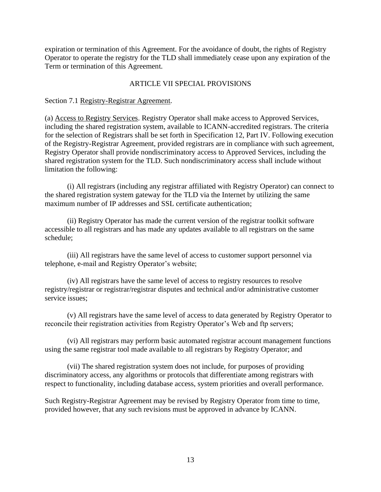expiration or termination of this Agreement. For the avoidance of doubt, the rights of Registry Operator to operate the registry for the TLD shall immediately cease upon any expiration of the Term or termination of this Agreement.

# ARTICLE VII SPECIAL PROVISIONS

#### Section 7.1 Registry-Registrar Agreement.

(a) Access to Registry Services. Registry Operator shall make access to Approved Services, including the shared registration system, available to ICANN-accredited registrars. The criteria for the selection of Registrars shall be set forth in Specification 12, Part IV. Following execution of the Registry-Registrar Agreement, provided registrars are in compliance with such agreement, Registry Operator shall provide nondiscriminatory access to Approved Services, including the shared registration system for the TLD. Such nondiscriminatory access shall include without limitation the following:

(i) All registrars (including any registrar affiliated with Registry Operator) can connect to the shared registration system gateway for the TLD via the Internet by utilizing the same maximum number of IP addresses and SSL certificate authentication;

(ii) Registry Operator has made the current version of the registrar toolkit software accessible to all registrars and has made any updates available to all registrars on the same schedule;

(iii) All registrars have the same level of access to customer support personnel via telephone, e-mail and Registry Operator's website;

(iv) All registrars have the same level of access to registry resources to resolve registry/registrar or registrar/registrar disputes and technical and/or administrative customer service issues;

(v) All registrars have the same level of access to data generated by Registry Operator to reconcile their registration activities from Registry Operator's Web and ftp servers;

(vi) All registrars may perform basic automated registrar account management functions using the same registrar tool made available to all registrars by Registry Operator; and

(vii) The shared registration system does not include, for purposes of providing discriminatory access, any algorithms or protocols that differentiate among registrars with respect to functionality, including database access, system priorities and overall performance.

Such Registry-Registrar Agreement may be revised by Registry Operator from time to time, provided however, that any such revisions must be approved in advance by ICANN.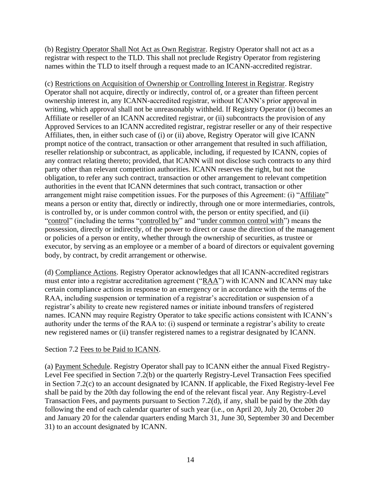(b) Registry Operator Shall Not Act as Own Registrar. Registry Operator shall not act as a registrar with respect to the TLD. This shall not preclude Registry Operator from registering names within the TLD to itself through a request made to an ICANN-accredited registrar.

(c) Restrictions on Acquisition of Ownership or Controlling Interest in Registrar. Registry Operator shall not acquire, directly or indirectly, control of, or a greater than fifteen percent ownership interest in, any ICANN-accredited registrar, without ICANN's prior approval in writing, which approval shall not be unreasonably withheld. If Registry Operator (i) becomes an Affiliate or reseller of an ICANN accredited registrar, or (ii) subcontracts the provision of any Approved Services to an ICANN accredited registrar, registrar reseller or any of their respective Affiliates, then, in either such case of (i) or (ii) above, Registry Operator will give ICANN prompt notice of the contract, transaction or other arrangement that resulted in such affiliation, reseller relationship or subcontract, as applicable, including, if requested by ICANN, copies of any contract relating thereto; provided, that ICANN will not disclose such contracts to any third party other than relevant competition authorities. ICANN reserves the right, but not the obligation, to refer any such contract, transaction or other arrangement to relevant competition authorities in the event that ICANN determines that such contract, transaction or other arrangement might raise competition issues. For the purposes of this Agreement: (i) "Affiliate" means a person or entity that, directly or indirectly, through one or more intermediaries, controls, is controlled by, or is under common control with, the person or entity specified, and (ii) "control" (including the terms "controlled by" and "under common control with") means the possession, directly or indirectly, of the power to direct or cause the direction of the management or policies of a person or entity, whether through the ownership of securities, as trustee or executor, by serving as an employee or a member of a board of directors or equivalent governing body, by contract, by credit arrangement or otherwise.

(d) Compliance Actions. Registry Operator acknowledges that all ICANN-accredited registrars must enter into a registrar accreditation agreement ("RAA") with ICANN and ICANN may take certain compliance actions in response to an emergency or in accordance with the terms of the RAA, including suspension or termination of a registrar's accreditation or suspension of a registrar's ability to create new registered names or initiate inbound transfers of registered names. ICANN may require Registry Operator to take specific actions consistent with ICANN's authority under the terms of the RAA to: (i) suspend or terminate a registrar's ability to create new registered names or (ii) transfer registered names to a registrar designated by ICANN.

#### Section 7.2 Fees to be Paid to ICANN.

(a) Payment Schedule. Registry Operator shall pay to ICANN either the annual Fixed Registry-Level Fee specified in Section 7.2(b) or the quarterly Registry-Level Transaction Fees specified in Section 7.2(c) to an account designated by ICANN. If applicable, the Fixed Registry-level Fee shall be paid by the 20th day following the end of the relevant fiscal year. Any Registry-Level Transaction Fees, and payments pursuant to Section 7.2(d), if any, shall be paid by the 20th day following the end of each calendar quarter of such year (i.e., on April 20, July 20, October 20 and January 20 for the calendar quarters ending March 31, June 30, September 30 and December 31) to an account designated by ICANN.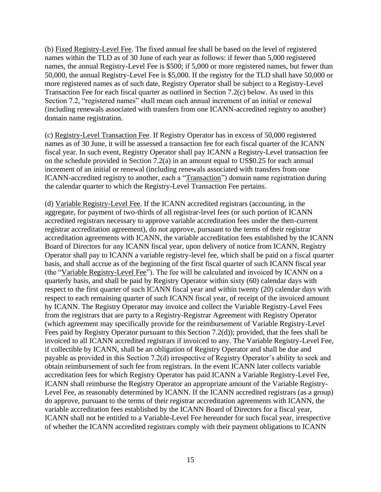(b) Fixed Registry-Level Fee. The fixed annual fee shall be based on the level of registered names within the TLD as of 30 June of each year as follows: if fewer than 5,000 registered names, the annual Registry-Level Fee is \$500; if 5,000 or more registered names, but fewer than 50,000, the annual Registry-Level Fee is \$5,000. If the registry for the TLD shall have 50,000 or more registered names as of such date, Registry Operator shall be subject to a Registry-Level Transaction Fee for each fiscal quarter as outlined in Section 7.2(c) below. As used in this Section 7.2, "registered names" shall mean each annual increment of an initial or renewal (including renewals associated with transfers from one ICANN-accredited registry to another) domain name registration.

(c) Registry-Level Transaction Fee. If Registry Operator has in excess of 50,000 registered names as of 30 June, it will be assessed a transaction fee for each fiscal quarter of the ICANN fiscal year. In such event, Registry Operator shall pay ICANN a Registry-Level transaction fee on the schedule provided in Section 7.2(a) in an amount equal to US\$0.25 for each annual increment of an initial or renewal (including renewals associated with transfers from one ICANN-accredited registry to another, each a "Transaction") domain name registration during the calendar quarter to which the Registry-Level Transaction Fee pertains.

(d) Variable Registry-Level Fee. If the ICANN accredited registrars (accounting, in the aggregate, for payment of two-thirds of all registrar-level fees (or such portion of ICANN accredited registrars necessary to approve variable accreditation fees under the then-current registrar accreditation agreement), do not approve, pursuant to the terms of their registrar accreditation agreements with ICANN, the variable accreditation fees established by the ICANN Board of Directors for any ICANN fiscal year, upon delivery of notice from ICANN, Registry Operator shall pay to ICANN a variable registry-level fee, which shall be paid on a fiscal quarter basis, and shall accrue as of the beginning of the first fiscal quarter of such ICANN fiscal year (the "Variable Registry-Level Fee"). The fee will be calculated and invoiced by ICANN on a quarterly basis, and shall be paid by Registry Operator within sixty (60) calendar days with respect to the first quarter of such ICANN fiscal year and within twenty (20) calendar days with respect to each remaining quarter of such ICANN fiscal year, of receipt of the invoiced amount by ICANN. The Registry Operator may invoice and collect the Variable Registry-Level Fees from the registrars that are party to a Registry-Registrar Agreement with Registry Operator (which agreement may specifically provide for the reimbursement of Variable Registry-Level Fees paid by Registry Operator pursuant to this Section 7.2(d)); provided, that the fees shall be invoiced to all ICANN accredited registrars if invoiced to any. The Variable Registry-Level Fee, if collectible by ICANN, shall be an obligation of Registry Operator and shall be due and payable as provided in this Section 7.2(d) irrespective of Registry Operator's ability to seek and obtain reimbursement of such fee from registrars. In the event ICANN later collects variable accreditation fees for which Registry Operator has paid ICANN a Variable Registry-Level Fee, ICANN shall reimburse the Registry Operator an appropriate amount of the Variable Registry-Level Fee, as reasonably determined by ICANN. If the ICANN accredited registrars (as a group) do approve, pursuant to the terms of their registrar accreditation agreements with ICANN, the variable accreditation fees established by the ICANN Board of Directors for a fiscal year, ICANN shall not be entitled to a Variable-Level Fee hereunder for such fiscal year, irrespective of whether the ICANN accredited registrars comply with their payment obligations to ICANN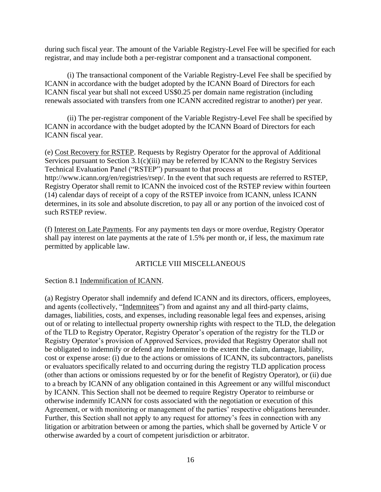during such fiscal year. The amount of the Variable Registry-Level Fee will be specified for each registrar, and may include both a per-registrar component and a transactional component.

(i) The transactional component of the Variable Registry-Level Fee shall be specified by ICANN in accordance with the budget adopted by the ICANN Board of Directors for each ICANN fiscal year but shall not exceed US\$0.25 per domain name registration (including renewals associated with transfers from one ICANN accredited registrar to another) per year.

(ii) The per-registrar component of the Variable Registry-Level Fee shall be specified by ICANN in accordance with the budget adopted by the ICANN Board of Directors for each ICANN fiscal year.

(e) Cost Recovery for RSTEP. Requests by Registry Operator for the approval of Additional Services pursuant to Section 3.1(c)(iii) may be referred by ICANN to the Registry Services Technical Evaluation Panel ("RSTEP") pursuant to that process at http://www.icann.org/en/registries/rsep/. In the event that such requests are referred to RSTEP, Registry Operator shall remit to ICANN the invoiced cost of the RSTEP review within fourteen (14) calendar days of receipt of a copy of the RSTEP invoice from ICANN, unless ICANN determines, in its sole and absolute discretion, to pay all or any portion of the invoiced cost of such RSTEP review.

(f) Interest on Late Payments. For any payments ten days or more overdue, Registry Operator shall pay interest on late payments at the rate of 1.5% per month or, if less, the maximum rate permitted by applicable law.

#### ARTICLE VIII MISCELLANEOUS

Section 8.1 Indemnification of ICANN.

(a) Registry Operator shall indemnify and defend ICANN and its directors, officers, employees, and agents (collectively, "Indemnitees") from and against any and all third-party claims, damages, liabilities, costs, and expenses, including reasonable legal fees and expenses, arising out of or relating to intellectual property ownership rights with respect to the TLD, the delegation of the TLD to Registry Operator, Registry Operator's operation of the registry for the TLD or Registry Operator's provision of Approved Services, provided that Registry Operator shall not be obligated to indemnify or defend any Indemnitee to the extent the claim, damage, liability, cost or expense arose: (i) due to the actions or omissions of ICANN, its subcontractors, panelists or evaluators specifically related to and occurring during the registry TLD application process (other than actions or omissions requested by or for the benefit of Registry Operator), or (ii) due to a breach by ICANN of any obligation contained in this Agreement or any willful misconduct by ICANN. This Section shall not be deemed to require Registry Operator to reimburse or otherwise indemnify ICANN for costs associated with the negotiation or execution of this Agreement, or with monitoring or management of the parties' respective obligations hereunder. Further, this Section shall not apply to any request for attorney's fees in connection with any litigation or arbitration between or among the parties, which shall be governed by Article V or otherwise awarded by a court of competent jurisdiction or arbitrator.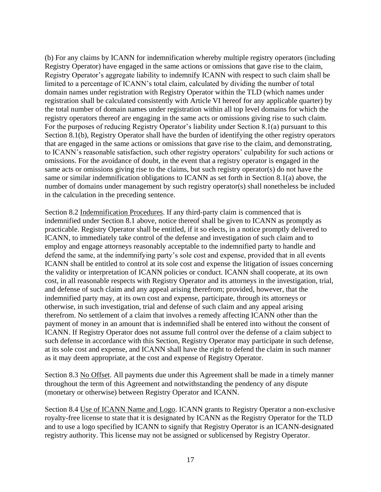(b) For any claims by ICANN for indemnification whereby multiple registry operators (including Registry Operator) have engaged in the same actions or omissions that gave rise to the claim, Registry Operator's aggregate liability to indemnify ICANN with respect to such claim shall be limited to a percentage of ICANN's total claim, calculated by dividing the number of total domain names under registration with Registry Operator within the TLD (which names under registration shall be calculated consistently with Article VI hereof for any applicable quarter) by the total number of domain names under registration within all top level domains for which the registry operators thereof are engaging in the same acts or omissions giving rise to such claim. For the purposes of reducing Registry Operator's liability under Section 8.1(a) pursuant to this Section 8.1(b), Registry Operator shall have the burden of identifying the other registry operators that are engaged in the same actions or omissions that gave rise to the claim, and demonstrating, to ICANN's reasonable satisfaction, such other registry operators' culpability for such actions or omissions. For the avoidance of doubt, in the event that a registry operator is engaged in the same acts or omissions giving rise to the claims, but such registry operator(s) do not have the same or similar indemnification obligations to ICANN as set forth in Section 8.1(a) above, the number of domains under management by such registry operator(s) shall nonetheless be included in the calculation in the preceding sentence.

Section 8.2 Indemnification Procedures. If any third-party claim is commenced that is indemnified under Section 8.1 above, notice thereof shall be given to ICANN as promptly as practicable. Registry Operator shall be entitled, if it so elects, in a notice promptly delivered to ICANN, to immediately take control of the defense and investigation of such claim and to employ and engage attorneys reasonably acceptable to the indemnified party to handle and defend the same, at the indemnifying party's sole cost and expense, provided that in all events ICANN shall be entitled to control at its sole cost and expense the litigation of issues concerning the validity or interpretation of ICANN policies or conduct. ICANN shall cooperate, at its own cost, in all reasonable respects with Registry Operator and its attorneys in the investigation, trial, and defense of such claim and any appeal arising therefrom; provided, however, that the indemnified party may, at its own cost and expense, participate, through its attorneys or otherwise, in such investigation, trial and defense of such claim and any appeal arising therefrom. No settlement of a claim that involves a remedy affecting ICANN other than the payment of money in an amount that is indemnified shall be entered into without the consent of ICANN. If Registry Operator does not assume full control over the defense of a claim subject to such defense in accordance with this Section, Registry Operator may participate in such defense, at its sole cost and expense, and ICANN shall have the right to defend the claim in such manner as it may deem appropriate, at the cost and expense of Registry Operator.

Section 8.3 No Offset. All payments due under this Agreement shall be made in a timely manner throughout the term of this Agreement and notwithstanding the pendency of any dispute (monetary or otherwise) between Registry Operator and ICANN.

Section 8.4 Use of ICANN Name and Logo. ICANN grants to Registry Operator a non-exclusive royalty-free license to state that it is designated by ICANN as the Registry Operator for the TLD and to use a logo specified by ICANN to signify that Registry Operator is an ICANN-designated registry authority. This license may not be assigned or sublicensed by Registry Operator.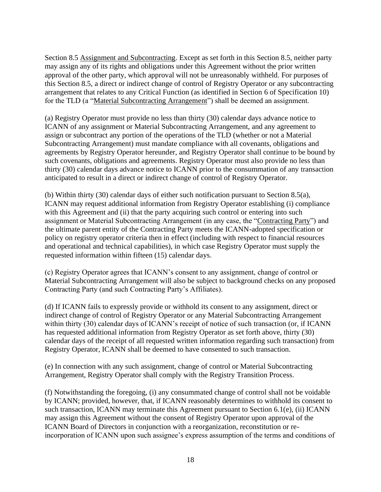Section 8.5 Assignment and Subcontracting. Except as set forth in this Section 8.5, neither party may assign any of its rights and obligations under this Agreement without the prior written approval of the other party, which approval will not be unreasonably withheld. For purposes of this Section 8.5, a direct or indirect change of control of Registry Operator or any subcontracting arrangement that relates to any Critical Function (as identified in Section 6 of Specification 10) for the TLD (a "Material Subcontracting Arrangement") shall be deemed an assignment.

(a) Registry Operator must provide no less than thirty (30) calendar days advance notice to ICANN of any assignment or Material Subcontracting Arrangement, and any agreement to assign or subcontract any portion of the operations of the TLD (whether or not a Material Subcontracting Arrangement) must mandate compliance with all covenants, obligations and agreements by Registry Operator hereunder, and Registry Operator shall continue to be bound by such covenants, obligations and agreements. Registry Operator must also provide no less than thirty (30) calendar days advance notice to ICANN prior to the consummation of any transaction anticipated to result in a direct or indirect change of control of Registry Operator.

(b) Within thirty (30) calendar days of either such notification pursuant to Section 8.5(a), ICANN may request additional information from Registry Operator establishing (i) compliance with this Agreement and (ii) that the party acquiring such control or entering into such assignment or Material Subcontracting Arrangement (in any case, the "Contracting Party") and the ultimate parent entity of the Contracting Party meets the ICANN-adopted specification or policy on registry operator criteria then in effect (including with respect to financial resources and operational and technical capabilities), in which case Registry Operator must supply the requested information within fifteen (15) calendar days.

(c) Registry Operator agrees that ICANN's consent to any assignment, change of control or Material Subcontracting Arrangement will also be subject to background checks on any proposed Contracting Party (and such Contracting Party's Affiliates).

(d) If ICANN fails to expressly provide or withhold its consent to any assignment, direct or indirect change of control of Registry Operator or any Material Subcontracting Arrangement within thirty (30) calendar days of ICANN's receipt of notice of such transaction (or, if ICANN has requested additional information from Registry Operator as set forth above, thirty (30) calendar days of the receipt of all requested written information regarding such transaction) from Registry Operator, ICANN shall be deemed to have consented to such transaction.

(e) In connection with any such assignment, change of control or Material Subcontracting Arrangement, Registry Operator shall comply with the Registry Transition Process.

(f) Notwithstanding the foregoing, (i) any consummated change of control shall not be voidable by ICANN; provided, however, that, if ICANN reasonably determines to withhold its consent to such transaction, ICANN may terminate this Agreement pursuant to Section 6.1(e), (ii) ICANN may assign this Agreement without the consent of Registry Operator upon approval of the ICANN Board of Directors in conjunction with a reorganization, reconstitution or reincorporation of ICANN upon such assignee's express assumption of the terms and conditions of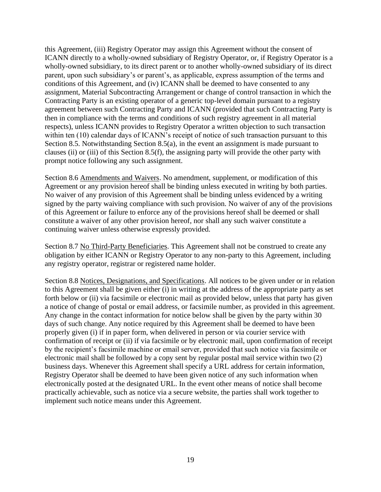this Agreement, (iii) Registry Operator may assign this Agreement without the consent of ICANN directly to a wholly-owned subsidiary of Registry Operator, or, if Registry Operator is a wholly-owned subsidiary, to its direct parent or to another wholly-owned subsidiary of its direct parent, upon such subsidiary's or parent's, as applicable, express assumption of the terms and conditions of this Agreement, and (iv) ICANN shall be deemed to have consented to any assignment, Material Subcontracting Arrangement or change of control transaction in which the Contracting Party is an existing operator of a generic top-level domain pursuant to a registry agreement between such Contracting Party and ICANN (provided that such Contracting Party is then in compliance with the terms and conditions of such registry agreement in all material respects), unless ICANN provides to Registry Operator a written objection to such transaction within ten (10) calendar days of ICANN's receipt of notice of such transaction pursuant to this Section 8.5. Notwithstanding Section 8.5(a), in the event an assignment is made pursuant to clauses (ii) or (iii) of this Section 8.5(f), the assigning party will provide the other party with prompt notice following any such assignment.

Section 8.6 Amendments and Waivers. No amendment, supplement, or modification of this Agreement or any provision hereof shall be binding unless executed in writing by both parties. No waiver of any provision of this Agreement shall be binding unless evidenced by a writing signed by the party waiving compliance with such provision. No waiver of any of the provisions of this Agreement or failure to enforce any of the provisions hereof shall be deemed or shall constitute a waiver of any other provision hereof, nor shall any such waiver constitute a continuing waiver unless otherwise expressly provided.

Section 8.7 No Third-Party Beneficiaries. This Agreement shall not be construed to create any obligation by either ICANN or Registry Operator to any non-party to this Agreement, including any registry operator, registrar or registered name holder.

Section 8.8 Notices, Designations, and Specifications. All notices to be given under or in relation to this Agreement shall be given either (i) in writing at the address of the appropriate party as set forth below or (ii) via facsimile or electronic mail as provided below, unless that party has given a notice of change of postal or email address, or facsimile number, as provided in this agreement. Any change in the contact information for notice below shall be given by the party within 30 days of such change. Any notice required by this Agreement shall be deemed to have been properly given (i) if in paper form, when delivered in person or via courier service with confirmation of receipt or (ii) if via facsimile or by electronic mail, upon confirmation of receipt by the recipient's facsimile machine or email server, provided that such notice via facsimile or electronic mail shall be followed by a copy sent by regular postal mail service within two (2) business days. Whenever this Agreement shall specify a URL address for certain information, Registry Operator shall be deemed to have been given notice of any such information when electronically posted at the designated URL. In the event other means of notice shall become practically achievable, such as notice via a secure website, the parties shall work together to implement such notice means under this Agreement.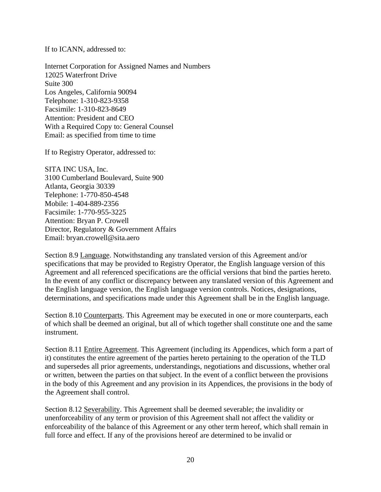If to ICANN, addressed to:

Internet Corporation for Assigned Names and Numbers 12025 Waterfront Drive Suite 300 Los Angeles, California 90094 Telephone: 1-310-823-9358 Facsimile: 1-310-823-8649 Attention: President and CEO With a Required Copy to: General Counsel Email: as specified from time to time

If to Registry Operator, addressed to:

SITA INC USA, Inc. 3100 Cumberland Boulevard, Suite 900 Atlanta, Georgia 30339 Telephone: 1-770-850-4548 Mobile: 1-404-889-2356 Facsimile: 1-770-955-3225 Attention: Bryan P. Crowell Director, Regulatory & Government Affairs Email: bryan.crowell@sita.aero

Section 8.9 Language. Notwithstanding any translated version of this Agreement and/or specifications that may be provided to Registry Operator, the English language version of this Agreement and all referenced specifications are the official versions that bind the parties hereto. In the event of any conflict or discrepancy between any translated version of this Agreement and the English language version, the English language version controls. Notices, designations, determinations, and specifications made under this Agreement shall be in the English language.

Section 8.10 Counterparts. This Agreement may be executed in one or more counterparts, each of which shall be deemed an original, but all of which together shall constitute one and the same instrument.

Section 8.11 Entire Agreement. This Agreement (including its Appendices, which form a part of it) constitutes the entire agreement of the parties hereto pertaining to the operation of the TLD and supersedes all prior agreements, understandings, negotiations and discussions, whether oral or written, between the parties on that subject. In the event of a conflict between the provisions in the body of this Agreement and any provision in its Appendices, the provisions in the body of the Agreement shall control.

Section 8.12 Severability. This Agreement shall be deemed severable; the invalidity or unenforceability of any term or provision of this Agreement shall not affect the validity or enforceability of the balance of this Agreement or any other term hereof, which shall remain in full force and effect. If any of the provisions hereof are determined to be invalid or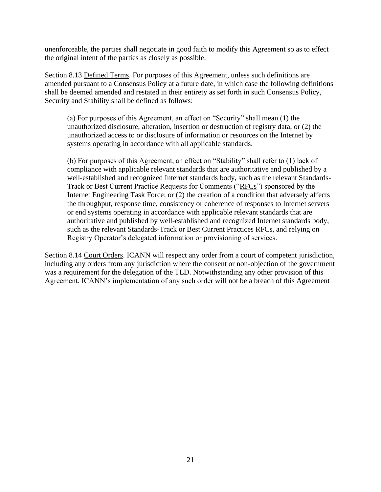unenforceable, the parties shall negotiate in good faith to modify this Agreement so as to effect the original intent of the parties as closely as possible.

Section 8.13 Defined Terms. For purposes of this Agreement, unless such definitions are amended pursuant to a Consensus Policy at a future date, in which case the following definitions shall be deemed amended and restated in their entirety as set forth in such Consensus Policy, Security and Stability shall be defined as follows:

(a) For purposes of this Agreement, an effect on "Security" shall mean (1) the unauthorized disclosure, alteration, insertion or destruction of registry data, or (2) the unauthorized access to or disclosure of information or resources on the Internet by systems operating in accordance with all applicable standards.

(b) For purposes of this Agreement, an effect on "Stability" shall refer to (1) lack of compliance with applicable relevant standards that are authoritative and published by a well-established and recognized Internet standards body, such as the relevant Standards-Track or Best Current Practice Requests for Comments ("RFCs") sponsored by the Internet Engineering Task Force; or (2) the creation of a condition that adversely affects the throughput, response time, consistency or coherence of responses to Internet servers or end systems operating in accordance with applicable relevant standards that are authoritative and published by well-established and recognized Internet standards body, such as the relevant Standards-Track or Best Current Practices RFCs, and relying on Registry Operator's delegated information or provisioning of services.

Section 8.14 Court Orders. ICANN will respect any order from a court of competent jurisdiction, including any orders from any jurisdiction where the consent or non-objection of the government was a requirement for the delegation of the TLD. Notwithstanding any other provision of this Agreement, ICANN's implementation of any such order will not be a breach of this Agreement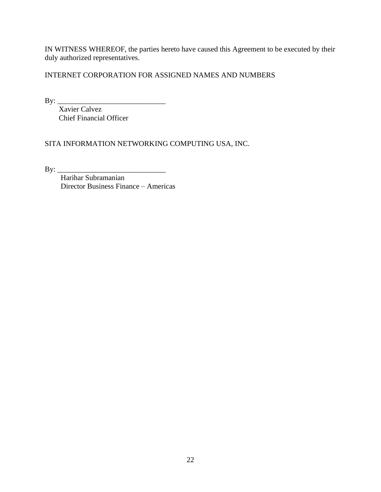IN WITNESS WHEREOF, the parties hereto have caused this Agreement to be executed by their duly authorized representatives.

INTERNET CORPORATION FOR ASSIGNED NAMES AND NUMBERS

By: \_\_\_\_\_\_\_\_\_\_\_\_\_\_\_\_\_\_\_\_\_\_\_\_\_\_\_\_\_

Xavier Calvez Chief Financial Officer

SITA INFORMATION NETWORKING COMPUTING USA, INC.

By: \_\_\_\_\_\_\_\_\_\_\_\_\_\_\_\_\_\_\_\_\_\_\_\_\_\_\_\_\_

Harihar Subramanian Director Business Finance – Americas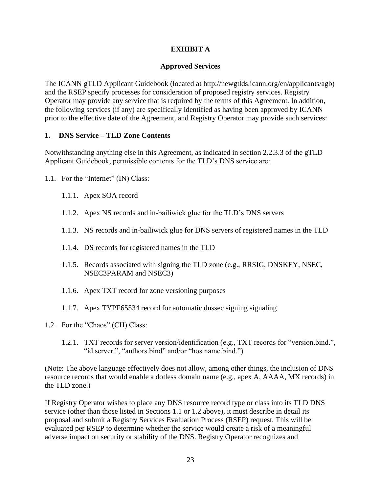# **EXHIBIT A**

### **Approved Services**

The ICANN gTLD Applicant Guidebook (located at http://newgtlds.icann.org/en/applicants/agb) and the RSEP specify processes for consideration of proposed registry services. Registry Operator may provide any service that is required by the terms of this Agreement. In addition, the following services (if any) are specifically identified as having been approved by ICANN prior to the effective date of the Agreement, and Registry Operator may provide such services:

#### **1. DNS Service – TLD Zone Contents**

Notwithstanding anything else in this Agreement, as indicated in section 2.2.3.3 of the gTLD Applicant Guidebook, permissible contents for the TLD's DNS service are:

- 1.1. For the "Internet" (IN) Class:
	- 1.1.1. Apex SOA record
	- 1.1.2. Apex NS records and in-bailiwick glue for the TLD's DNS servers
	- 1.1.3. NS records and in-bailiwick glue for DNS servers of registered names in the TLD
	- 1.1.4. DS records for registered names in the TLD
	- 1.1.5. Records associated with signing the TLD zone (e.g., RRSIG, DNSKEY, NSEC, NSEC3PARAM and NSEC3)
	- 1.1.6. Apex TXT record for zone versioning purposes
	- 1.1.7. Apex TYPE65534 record for automatic dnssec signing signaling
- 1.2. For the "Chaos" (CH) Class:
	- 1.2.1. TXT records for server version/identification (e.g., TXT records for "version.bind.", "id.server.", "authors.bind" and/or "hostname.bind.")

(Note: The above language effectively does not allow, among other things, the inclusion of DNS resource records that would enable a dotless domain name (e.g., apex A, AAAA, MX records) in the TLD zone.)

If Registry Operator wishes to place any DNS resource record type or class into its TLD DNS service (other than those listed in Sections 1.1 or 1.2 above), it must describe in detail its proposal and submit a Registry Services Evaluation Process (RSEP) request. This will be evaluated per RSEP to determine whether the service would create a risk of a meaningful adverse impact on security or stability of the DNS. Registry Operator recognizes and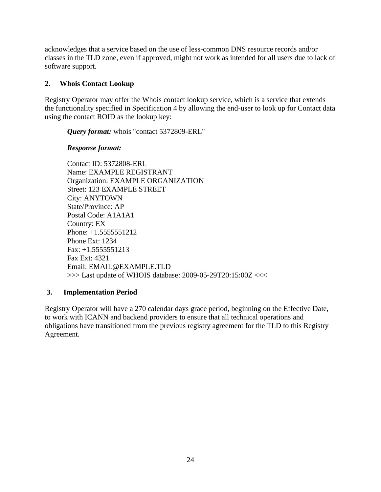acknowledges that a service based on the use of less-common DNS resource records and/or classes in the TLD zone, even if approved, might not work as intended for all users due to lack of software support.

# **2. Whois Contact Lookup**

Registry Operator may offer the Whois contact lookup service, which is a service that extends the functionality specified in Specification 4 by allowing the end-user to look up for Contact data using the contact ROID as the lookup key:

*Query format:* whois "contact 5372809-ERL"

# *Response format:*

Contact ID: 5372808-ERL Name: EXAMPLE REGISTRANT Organization: EXAMPLE ORGANIZATION Street: 123 EXAMPLE STREET City: ANYTOWN State/Province: AP Postal Code: A1A1A1 Country: EX Phone: +1.5555551212 Phone Ext: 1234 Fax: +1.5555551213 Fax Ext: 4321 Email: EMAIL@EXAMPLE.TLD >>> Last update of WHOIS database: 2009-05-29T20:15:00Z <<<

# **3. Implementation Period**

Registry Operator will have a 270 calendar days grace period, beginning on the Effective Date, to work with ICANN and backend providers to ensure that all technical operations and obligations have transitioned from the previous registry agreement for the TLD to this Registry Agreement.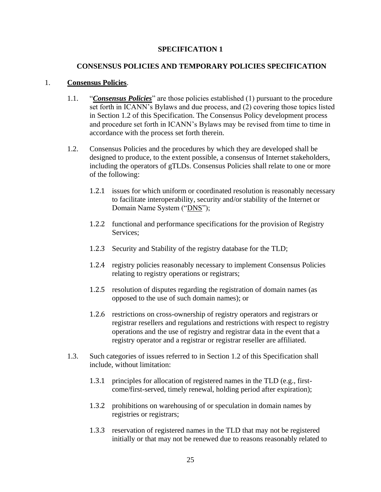### **SPECIFICATION 1**

#### **CONSENSUS POLICIES AND TEMPORARY POLICIES SPECIFICATION**

#### 1. **Consensus Policies**.

- 1.1. "*Consensus Policies*" are those policies established (1) pursuant to the procedure set forth in ICANN's Bylaws and due process, and (2) covering those topics listed in Section 1.2 of this Specification. The Consensus Policy development process and procedure set forth in ICANN's Bylaws may be revised from time to time in accordance with the process set forth therein.
- 1.2. Consensus Policies and the procedures by which they are developed shall be designed to produce, to the extent possible, a consensus of Internet stakeholders, including the operators of gTLDs. Consensus Policies shall relate to one or more of the following:
	- 1.2.1 issues for which uniform or coordinated resolution is reasonably necessary to facilitate interoperability, security and/or stability of the Internet or Domain Name System ("DNS");
	- 1.2.2 functional and performance specifications for the provision of Registry Services;
	- 1.2.3 Security and Stability of the registry database for the TLD;
	- 1.2.4 registry policies reasonably necessary to implement Consensus Policies relating to registry operations or registrars;
	- 1.2.5 resolution of disputes regarding the registration of domain names (as opposed to the use of such domain names); or
	- 1.2.6 restrictions on cross-ownership of registry operators and registrars or registrar resellers and regulations and restrictions with respect to registry operations and the use of registry and registrar data in the event that a registry operator and a registrar or registrar reseller are affiliated.
- 1.3. Such categories of issues referred to in Section 1.2 of this Specification shall include, without limitation:
	- 1.3.1 principles for allocation of registered names in the TLD (e.g., firstcome/first-served, timely renewal, holding period after expiration);
	- 1.3.2 prohibitions on warehousing of or speculation in domain names by registries or registrars;
	- 1.3.3 reservation of registered names in the TLD that may not be registered initially or that may not be renewed due to reasons reasonably related to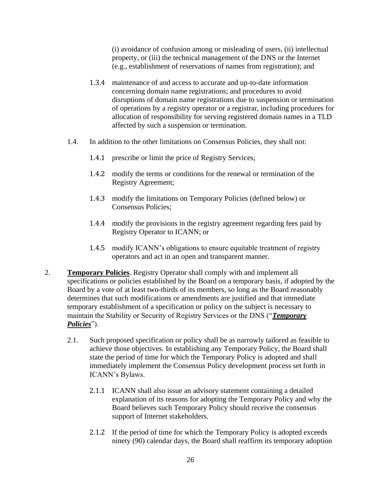(i) avoidance of confusion among or misleading of users, (ii) intellectual property, or (iii) the technical management of the DNS or the Internet (e.g., establishment of reservations of names from registration); and

- 1.3.4 maintenance of and access to accurate and up-to-date information concerning domain name registrations; and procedures to avoid disruptions of domain name registrations due to suspension or termination of operations by a registry operator or a registrar, including procedures for allocation of responsibility for serving registered domain names in a TLD affected by such a suspension or termination.
- 1.4. In addition to the other limitations on Consensus Policies, they shall not:
	- 1.4.1 prescribe or limit the price of Registry Services;
	- 1.4.2 modify the terms or conditions for the renewal or termination of the Registry Agreement;
	- 1.4.3 modify the limitations on Temporary Policies (defined below) or Consensus Policies;
	- 1.4.4 modify the provisions in the registry agreement regarding fees paid by Registry Operator to ICANN; or
	- 1.4.5 modify ICANN's obligations to ensure equitable treatment of registry operators and act in an open and transparent manner.
- 2. **Temporary Policies**. Registry Operator shall comply with and implement all specifications or policies established by the Board on a temporary basis, if adopted by the Board by a vote of at least two-thirds of its members, so long as the Board reasonably determines that such modifications or amendments are justified and that immediate temporary establishment of a specification or policy on the subject is necessary to maintain the Stability or Security of Registry Services or the DNS ("*Temporary Policies*").
	- 2.1. Such proposed specification or policy shall be as narrowly tailored as feasible to achieve those objectives. In establishing any Temporary Policy, the Board shall state the period of time for which the Temporary Policy is adopted and shall immediately implement the Consensus Policy development process set forth in ICANN's Bylaws.
		- 2.1.1 ICANN shall also issue an advisory statement containing a detailed explanation of its reasons for adopting the Temporary Policy and why the Board believes such Temporary Policy should receive the consensus support of Internet stakeholders.
		- 2.1.2 If the period of time for which the Temporary Policy is adopted exceeds ninety (90) calendar days, the Board shall reaffirm its temporary adoption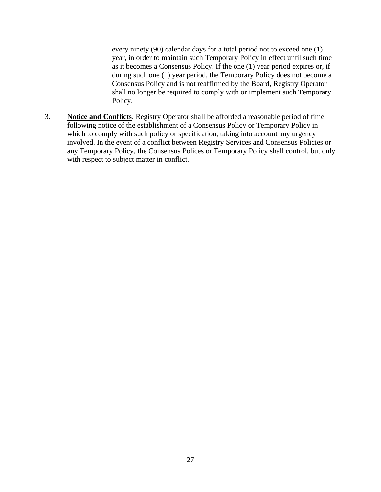every ninety (90) calendar days for a total period not to exceed one (1) year, in order to maintain such Temporary Policy in effect until such time as it becomes a Consensus Policy. If the one (1) year period expires or, if during such one (1) year period, the Temporary Policy does not become a Consensus Policy and is not reaffirmed by the Board, Registry Operator shall no longer be required to comply with or implement such Temporary Policy.

3. **Notice and Conflicts**. Registry Operator shall be afforded a reasonable period of time following notice of the establishment of a Consensus Policy or Temporary Policy in which to comply with such policy or specification, taking into account any urgency involved. In the event of a conflict between Registry Services and Consensus Policies or any Temporary Policy, the Consensus Polices or Temporary Policy shall control, but only with respect to subject matter in conflict.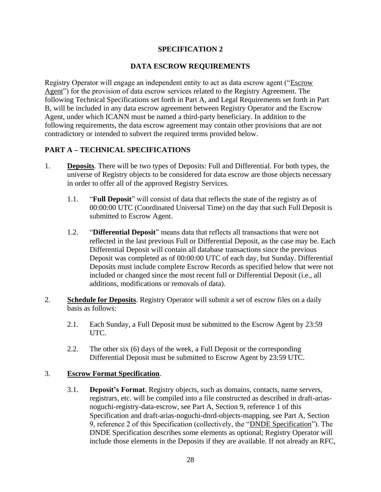# **SPECIFICATION 2**

### **DATA ESCROW REQUIREMENTS**

Registry Operator will engage an independent entity to act as data escrow agent ("Escrow Agent") for the provision of data escrow services related to the Registry Agreement. The following Technical Specifications set forth in Part A, and Legal Requirements set forth in Part B, will be included in any data escrow agreement between Registry Operator and the Escrow Agent, under which ICANN must be named a third-party beneficiary. In addition to the following requirements, the data escrow agreement may contain other provisions that are not contradictory or intended to subvert the required terms provided below.

### **PART A – TECHNICAL SPECIFICATIONS**

- 1. **Deposits**. There will be two types of Deposits: Full and Differential. For both types, the universe of Registry objects to be considered for data escrow are those objects necessary in order to offer all of the approved Registry Services.
	- 1.1. "**Full Deposit**" will consist of data that reflects the state of the registry as of 00:00:00 UTC (Coordinated Universal Time) on the day that such Full Deposit is submitted to Escrow Agent.
	- 1.2. "**Differential Deposit**" means data that reflects all transactions that were not reflected in the last previous Full or Differential Deposit, as the case may be. Each Differential Deposit will contain all database transactions since the previous Deposit was completed as of 00:00:00 UTC of each day, but Sunday. Differential Deposits must include complete Escrow Records as specified below that were not included or changed since the most recent full or Differential Deposit (i.e., all additions, modifications or removals of data).
- 2. **Schedule for Deposits**. Registry Operator will submit a set of escrow files on a daily basis as follows:
	- 2.1. Each Sunday, a Full Deposit must be submitted to the Escrow Agent by 23:59 UTC.
	- 2.2. The other six (6) days of the week, a Full Deposit or the corresponding Differential Deposit must be submitted to Escrow Agent by 23:59 UTC.

#### 3. **Escrow Format Specification**.

3.1. **Deposit's Format**. Registry objects, such as domains, contacts, name servers, registrars, etc. will be compiled into a file constructed as described in draft-ariasnoguchi-registry-data-escrow, see Part A, Section 9, reference 1 of this Specification and draft-arias-noguchi-dnrd-objects-mapping, see Part A, Section 9, reference 2 of this Specification (collectively, the "DNDE Specification"). The DNDE Specification describes some elements as optional; Registry Operator will include those elements in the Deposits if they are available. If not already an RFC,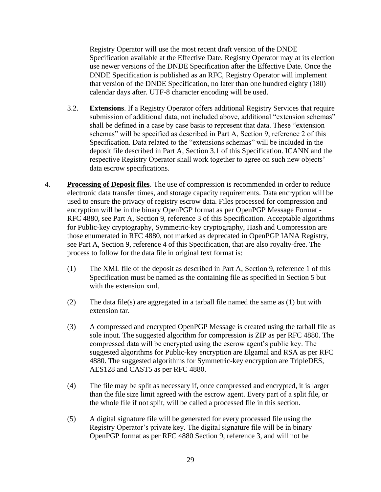Registry Operator will use the most recent draft version of the DNDE Specification available at the Effective Date. Registry Operator may at its election use newer versions of the DNDE Specification after the Effective Date. Once the DNDE Specification is published as an RFC, Registry Operator will implement that version of the DNDE Specification, no later than one hundred eighty (180) calendar days after. UTF-8 character encoding will be used.

- 3.2. **Extensions**. If a Registry Operator offers additional Registry Services that require submission of additional data, not included above, additional "extension schemas" shall be defined in a case by case basis to represent that data. These "extension schemas" will be specified as described in Part A, Section 9, reference 2 of this Specification. Data related to the "extensions schemas" will be included in the deposit file described in Part A, Section 3.1 of this Specification. ICANN and the respective Registry Operator shall work together to agree on such new objects' data escrow specifications.
- 4. **Processing of Deposit files**. The use of compression is recommended in order to reduce electronic data transfer times, and storage capacity requirements. Data encryption will be used to ensure the privacy of registry escrow data. Files processed for compression and encryption will be in the binary OpenPGP format as per OpenPGP Message Format - RFC 4880, see Part A, Section 9, reference 3 of this Specification. Acceptable algorithms for Public-key cryptography, Symmetric-key cryptography, Hash and Compression are those enumerated in RFC 4880, not marked as deprecated in OpenPGP IANA Registry, see Part A, Section 9, reference 4 of this Specification, that are also royalty-free. The process to follow for the data file in original text format is:
	- (1) The XML file of the deposit as described in Part A, Section 9, reference 1 of this Specification must be named as the containing file as specified in Section 5 but with the extension xml.
	- (2) The data file(s) are aggregated in a tarball file named the same as (1) but with extension tar.
	- (3) A compressed and encrypted OpenPGP Message is created using the tarball file as sole input. The suggested algorithm for compression is ZIP as per RFC 4880. The compressed data will be encrypted using the escrow agent's public key. The suggested algorithms for Public-key encryption are Elgamal and RSA as per RFC 4880. The suggested algorithms for Symmetric-key encryption are TripleDES, AES128 and CAST5 as per RFC 4880.
	- (4) The file may be split as necessary if, once compressed and encrypted, it is larger than the file size limit agreed with the escrow agent. Every part of a split file, or the whole file if not split, will be called a processed file in this section.
	- (5) A digital signature file will be generated for every processed file using the Registry Operator's private key. The digital signature file will be in binary OpenPGP format as per RFC 4880 Section 9, reference 3, and will not be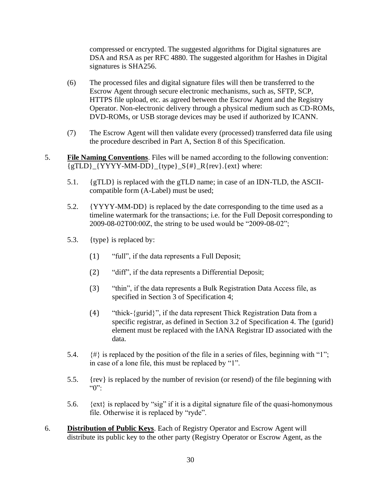compressed or encrypted. The suggested algorithms for Digital signatures are DSA and RSA as per RFC 4880. The suggested algorithm for Hashes in Digital signatures is SHA256.

- (6) The processed files and digital signature files will then be transferred to the Escrow Agent through secure electronic mechanisms, such as, SFTP, SCP, HTTPS file upload, etc. as agreed between the Escrow Agent and the Registry Operator. Non-electronic delivery through a physical medium such as CD-ROMs, DVD-ROMs, or USB storage devices may be used if authorized by ICANN.
- (7) The Escrow Agent will then validate every (processed) transferred data file using the procedure described in Part A, Section 8 of this Specification.
- 5. **File Naming Conventions**. Files will be named according to the following convention:  ${gTLD}_{YYYY-MM-DD}_{k}$  {type}  $S_{#}$   $R$ {rev}.{ext} where:
	- 5.1. {gTLD} is replaced with the gTLD name; in case of an IDN-TLD, the ASCIIcompatible form (A-Label) must be used;
	- 5.2. {YYYY-MM-DD} is replaced by the date corresponding to the time used as a timeline watermark for the transactions; i.e. for the Full Deposit corresponding to 2009-08-02T00:00Z, the string to be used would be "2009-08-02";
	- 5.3. {type} is replaced by:
		- (1) "full", if the data represents a Full Deposit;
		- (2) "diff", if the data represents a Differential Deposit;
		- (3) "thin", if the data represents a Bulk Registration Data Access file, as specified in Section 3 of Specification 4;
		- (4) "thick-{gurid}", if the data represent Thick Registration Data from a specific registrar, as defined in Section 3.2 of Specification 4. The {gurid} element must be replaced with the IANA Registrar ID associated with the data.
	- 5.4.  $\{\#\}$  is replaced by the position of the file in a series of files, beginning with "1"; in case of a lone file, this must be replaced by "1".
	- 5.5. {rev} is replaced by the number of revision (or resend) of the file beginning with  $\lq\lq\lq\lq\lq\lq\lq\lq\lq\lq\lq$
	- 5.6. {ext} is replaced by "sig" if it is a digital signature file of the quasi-homonymous file. Otherwise it is replaced by "ryde".
- 6. **Distribution of Public Keys**. Each of Registry Operator and Escrow Agent will distribute its public key to the other party (Registry Operator or Escrow Agent, as the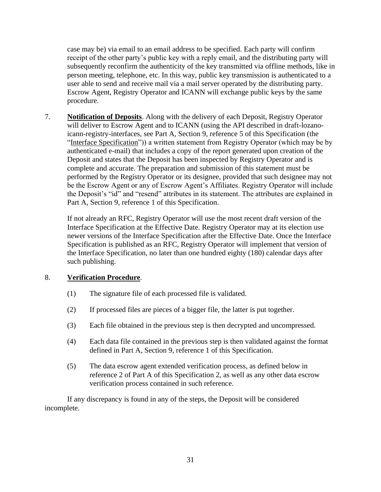case may be) via email to an email address to be specified. Each party will confirm receipt of the other party's public key with a reply email, and the distributing party will subsequently reconfirm the authenticity of the key transmitted via offline methods, like in person meeting, telephone, etc. In this way, public key transmission is authenticated to a user able to send and receive mail via a mail server operated by the distributing party. Escrow Agent, Registry Operator and ICANN will exchange public keys by the same procedure.

7. **Notification of Deposits**. Along with the delivery of each Deposit, Registry Operator will deliver to Escrow Agent and to ICANN (using the API described in draft-lozanoicann-registry-interfaces, see Part A, Section 9, reference 5 of this Specification (the "Interface Specification")) a written statement from Registry Operator (which may be by authenticated e-mail) that includes a copy of the report generated upon creation of the Deposit and states that the Deposit has been inspected by Registry Operator and is complete and accurate. The preparation and submission of this statement must be performed by the Registry Operator or its designee, provided that such designee may not be the Escrow Agent or any of Escrow Agent's Affiliates. Registry Operator will include the Deposit's "id" and "resend" attributes in its statement. The attributes are explained in Part A, Section 9, reference 1 of this Specification.

If not already an RFC, Registry Operator will use the most recent draft version of the Interface Specification at the Effective Date. Registry Operator may at its election use newer versions of the Interface Specification after the Effective Date. Once the Interface Specification is published as an RFC, Registry Operator will implement that version of the Interface Specification, no later than one hundred eighty (180) calendar days after such publishing.

# 8. **Verification Procedure**.

- (1) The signature file of each processed file is validated.
- (2) If processed files are pieces of a bigger file, the latter is put together.
- (3) Each file obtained in the previous step is then decrypted and uncompressed.
- (4) Each data file contained in the previous step is then validated against the format defined in Part A, Section 9, reference 1 of this Specification.
- (5) The data escrow agent extended verification process, as defined below in reference 2 of Part A of this Specification 2, as well as any other data escrow verification process contained in such reference.

If any discrepancy is found in any of the steps, the Deposit will be considered incomplete.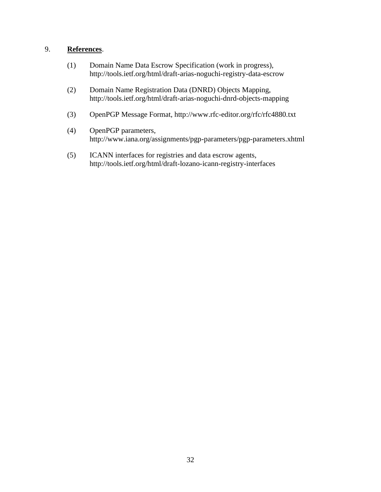# 9. **References**.

- (1) Domain Name Data Escrow Specification (work in progress), http://tools.ietf.org/html/draft-arias-noguchi-registry-data-escrow
- (2) Domain Name Registration Data (DNRD) Objects Mapping, http://tools.ietf.org/html/draft-arias-noguchi-dnrd-objects-mapping
- (3) OpenPGP Message Format, http://www.rfc-editor.org/rfc/rfc4880.txt
- (4) OpenPGP parameters, http://www.iana.org/assignments/pgp-parameters/pgp-parameters.xhtml
- (5) ICANN interfaces for registries and data escrow agents, http://tools.ietf.org/html/draft-lozano-icann-registry-interfaces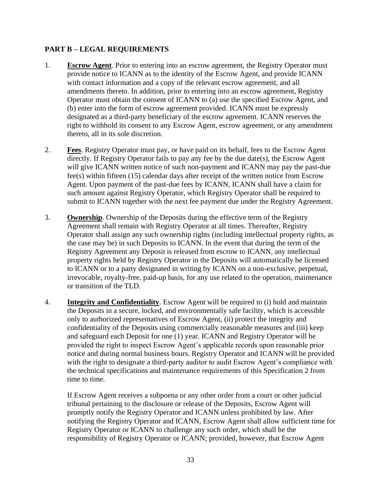# **PART B – LEGAL REQUIREMENTS**

- 1. **Escrow Agent**. Prior to entering into an escrow agreement, the Registry Operator must provide notice to ICANN as to the identity of the Escrow Agent, and provide ICANN with contact information and a copy of the relevant escrow agreement, and all amendments thereto. In addition, prior to entering into an escrow agreement, Registry Operator must obtain the consent of ICANN to (a) use the specified Escrow Agent, and (b) enter into the form of escrow agreement provided. ICANN must be expressly designated as a third-party beneficiary of the escrow agreement. ICANN reserves the right to withhold its consent to any Escrow Agent, escrow agreement, or any amendment thereto, all in its sole discretion.
- 2. **Fees**. Registry Operator must pay, or have paid on its behalf, fees to the Escrow Agent directly. If Registry Operator fails to pay any fee by the due date(s), the Escrow Agent will give ICANN written notice of such non-payment and ICANN may pay the past-due fee(s) within fifteen (15) calendar days after receipt of the written notice from Escrow Agent. Upon payment of the past-due fees by ICANN, ICANN shall have a claim for such amount against Registry Operator, which Registry Operator shall be required to submit to ICANN together with the next fee payment due under the Registry Agreement.
- 3. **Ownership**. Ownership of the Deposits during the effective term of the Registry Agreement shall remain with Registry Operator at all times. Thereafter, Registry Operator shall assign any such ownership rights (including intellectual property rights, as the case may be) in such Deposits to ICANN. In the event that during the term of the Registry Agreement any Deposit is released from escrow to ICANN, any intellectual property rights held by Registry Operator in the Deposits will automatically be licensed to ICANN or to a party designated in writing by ICANN on a non-exclusive, perpetual, irrevocable, royalty-free, paid-up basis, for any use related to the operation, maintenance or transition of the TLD.
- 4. **Integrity and Confidentiality**. Escrow Agent will be required to (i) hold and maintain the Deposits in a secure, locked, and environmentally safe facility, which is accessible only to authorized representatives of Escrow Agent, (ii) protect the integrity and confidentiality of the Deposits using commercially reasonable measures and (iii) keep and safeguard each Deposit for one (1) year. ICANN and Registry Operator will be provided the right to inspect Escrow Agent's applicable records upon reasonable prior notice and during normal business hours. Registry Operator and ICANN will be provided with the right to designate a third-party auditor to audit Escrow Agent's compliance with the technical specifications and maintenance requirements of this Specification 2 from time to time.

If Escrow Agent receives a subpoena or any other order from a court or other judicial tribunal pertaining to the disclosure or release of the Deposits, Escrow Agent will promptly notify the Registry Operator and ICANN unless prohibited by law. After notifying the Registry Operator and ICANN, Escrow Agent shall allow sufficient time for Registry Operator or ICANN to challenge any such order, which shall be the responsibility of Registry Operator or ICANN; provided, however, that Escrow Agent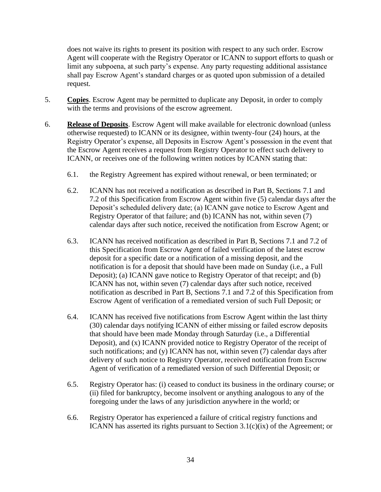does not waive its rights to present its position with respect to any such order. Escrow Agent will cooperate with the Registry Operator or ICANN to support efforts to quash or limit any subpoena, at such party's expense. Any party requesting additional assistance shall pay Escrow Agent's standard charges or as quoted upon submission of a detailed request.

- 5. **Copies**. Escrow Agent may be permitted to duplicate any Deposit, in order to comply with the terms and provisions of the escrow agreement.
- 6. **Release of Deposits**. Escrow Agent will make available for electronic download (unless otherwise requested) to ICANN or its designee, within twenty-four (24) hours, at the Registry Operator's expense, all Deposits in Escrow Agent's possession in the event that the Escrow Agent receives a request from Registry Operator to effect such delivery to ICANN, or receives one of the following written notices by ICANN stating that:
	- 6.1. the Registry Agreement has expired without renewal, or been terminated; or
	- 6.2. ICANN has not received a notification as described in Part B, Sections 7.1 and 7.2 of this Specification from Escrow Agent within five (5) calendar days after the Deposit's scheduled delivery date; (a) ICANN gave notice to Escrow Agent and Registry Operator of that failure; and (b) ICANN has not, within seven (7) calendar days after such notice, received the notification from Escrow Agent; or
	- 6.3. ICANN has received notification as described in Part B, Sections 7.1 and 7.2 of this Specification from Escrow Agent of failed verification of the latest escrow deposit for a specific date or a notification of a missing deposit, and the notification is for a deposit that should have been made on Sunday (i.e., a Full Deposit); (a) ICANN gave notice to Registry Operator of that receipt; and (b) ICANN has not, within seven (7) calendar days after such notice, received notification as described in Part B, Sections 7.1 and 7.2 of this Specification from Escrow Agent of verification of a remediated version of such Full Deposit; or
	- 6.4. ICANN has received five notifications from Escrow Agent within the last thirty (30) calendar days notifying ICANN of either missing or failed escrow deposits that should have been made Monday through Saturday (i.e., a Differential Deposit), and (x) ICANN provided notice to Registry Operator of the receipt of such notifications; and (y) ICANN has not, within seven (7) calendar days after delivery of such notice to Registry Operator, received notification from Escrow Agent of verification of a remediated version of such Differential Deposit; or
	- 6.5. Registry Operator has: (i) ceased to conduct its business in the ordinary course; or (ii) filed for bankruptcy, become insolvent or anything analogous to any of the foregoing under the laws of any jurisdiction anywhere in the world; or
	- 6.6. Registry Operator has experienced a failure of critical registry functions and ICANN has asserted its rights pursuant to Section 3.1(c)(ix) of the Agreement; or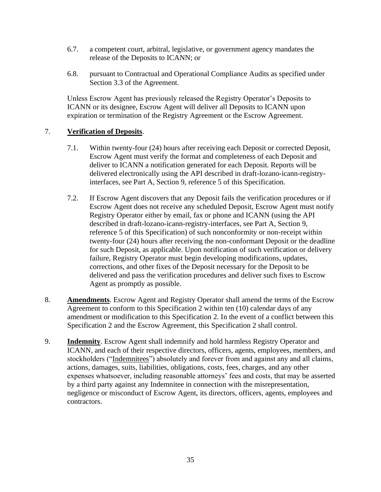- 6.7. a competent court, arbitral, legislative, or government agency mandates the release of the Deposits to ICANN; or
- 6.8. pursuant to Contractual and Operational Compliance Audits as specified under Section 3.3 of the Agreement.

Unless Escrow Agent has previously released the Registry Operator's Deposits to ICANN or its designee, Escrow Agent will deliver all Deposits to ICANN upon expiration or termination of the Registry Agreement or the Escrow Agreement.

### 7. **Verification of Deposits**.

- 7.1. Within twenty-four (24) hours after receiving each Deposit or corrected Deposit, Escrow Agent must verify the format and completeness of each Deposit and deliver to ICANN a notification generated for each Deposit. Reports will be delivered electronically using the API described in draft-lozano-icann-registryinterfaces, see Part A, Section 9, reference 5 of this Specification.
- 7.2. If Escrow Agent discovers that any Deposit fails the verification procedures or if Escrow Agent does not receive any scheduled Deposit, Escrow Agent must notify Registry Operator either by email, fax or phone and ICANN (using the API described in draft-lozano-icann-registry-interfaces, see Part A, Section 9, reference 5 of this Specification) of such nonconformity or non-receipt within twenty-four (24) hours after receiving the non-conformant Deposit or the deadline for such Deposit, as applicable. Upon notification of such verification or delivery failure, Registry Operator must begin developing modifications, updates, corrections, and other fixes of the Deposit necessary for the Deposit to be delivered and pass the verification procedures and deliver such fixes to Escrow Agent as promptly as possible.
- 8. **Amendments**. Escrow Agent and Registry Operator shall amend the terms of the Escrow Agreement to conform to this Specification 2 within ten (10) calendar days of any amendment or modification to this Specification 2. In the event of a conflict between this Specification 2 and the Escrow Agreement, this Specification 2 shall control.
- 9. **Indemnity**. Escrow Agent shall indemnify and hold harmless Registry Operator and ICANN, and each of their respective directors, officers, agents, employees, members, and stockholders ("Indemnitees") absolutely and forever from and against any and all claims, actions, damages, suits, liabilities, obligations, costs, fees, charges, and any other expenses whatsoever, including reasonable attorneys' fees and costs, that may be asserted by a third party against any Indemnitee in connection with the misrepresentation, negligence or misconduct of Escrow Agent, its directors, officers, agents, employees and contractors.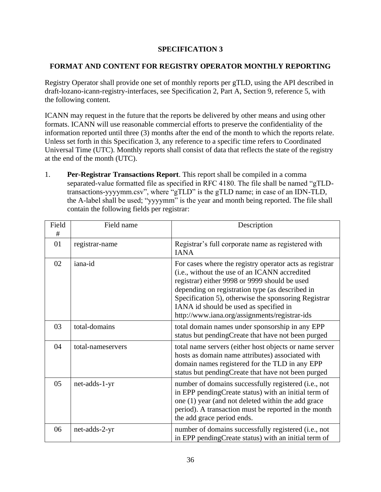# **SPECIFICATION 3**

# **FORMAT AND CONTENT FOR REGISTRY OPERATOR MONTHLY REPORTING**

Registry Operator shall provide one set of monthly reports per gTLD, using the API described in draft-lozano-icann-registry-interfaces, see Specification 2, Part A, Section 9, reference 5, with the following content.

ICANN may request in the future that the reports be delivered by other means and using other formats. ICANN will use reasonable commercial efforts to preserve the confidentiality of the information reported until three (3) months after the end of the month to which the reports relate. Unless set forth in this Specification 3, any reference to a specific time refers to Coordinated Universal Time (UTC). Monthly reports shall consist of data that reflects the state of the registry at the end of the month (UTC).

1. **Per-Registrar Transactions Report**. This report shall be compiled in a comma separated-value formatted file as specified in RFC 4180. The file shall be named "gTLDtransactions-yyyymm.csv", where "gTLD" is the gTLD name; in case of an IDN-TLD, the A-label shall be used; "yyyymm" is the year and month being reported. The file shall contain the following fields per registrar:

| Field<br># | Field name        | Description                                                                                                                                                                                                                                                                                                                                                     |
|------------|-------------------|-----------------------------------------------------------------------------------------------------------------------------------------------------------------------------------------------------------------------------------------------------------------------------------------------------------------------------------------------------------------|
| 01         | registrar-name    | Registrar's full corporate name as registered with<br><b>IANA</b>                                                                                                                                                                                                                                                                                               |
| 02         | iana-id           | For cases where the registry operator acts as registrar<br>(i.e., without the use of an ICANN accredited<br>registrar) either 9998 or 9999 should be used<br>depending on registration type (as described in<br>Specification 5), otherwise the sponsoring Registrar<br>IANA id should be used as specified in<br>http://www.iana.org/assignments/registrar-ids |
| 03         | total-domains     | total domain names under sponsorship in any EPP<br>status but pendingCreate that have not been purged                                                                                                                                                                                                                                                           |
| 04         | total-nameservers | total name servers (either host objects or name server<br>hosts as domain name attributes) associated with<br>domain names registered for the TLD in any EPP<br>status but pendingCreate that have not been purged                                                                                                                                              |
| 05         | net-adds-1-yr     | number of domains successfully registered (i.e., not<br>in EPP pendingCreate status) with an initial term of<br>one (1) year (and not deleted within the add grace<br>period). A transaction must be reported in the month<br>the add grace period ends.                                                                                                        |
| 06         | net-adds-2-yr     | number of domains successfully registered (i.e., not<br>in EPP pending Create status) with an initial term of                                                                                                                                                                                                                                                   |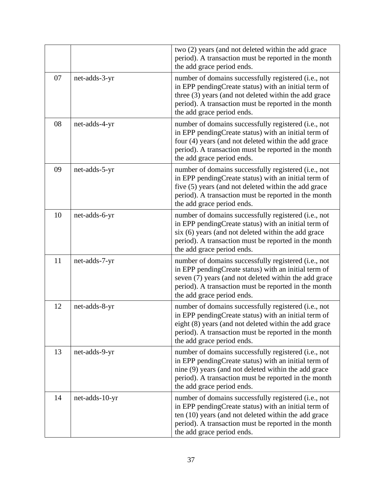|    |                | two (2) years (and not deleted within the add grace<br>period). A transaction must be reported in the month<br>the add grace period ends.                                                                                                                   |
|----|----------------|-------------------------------------------------------------------------------------------------------------------------------------------------------------------------------------------------------------------------------------------------------------|
| 07 | net-adds-3-yr  | number of domains successfully registered (i.e., not<br>in EPP pendingCreate status) with an initial term of<br>three (3) years (and not deleted within the add grace<br>period). A transaction must be reported in the month<br>the add grace period ends. |
| 08 | net-adds-4-yr  | number of domains successfully registered (i.e., not<br>in EPP pending Create status) with an initial term of<br>four (4) years (and not deleted within the add grace<br>period). A transaction must be reported in the month<br>the add grace period ends. |
| 09 | net-adds-5-yr  | number of domains successfully registered (i.e., not<br>in EPP pending Create status) with an initial term of<br>five (5) years (and not deleted within the add grace<br>period). A transaction must be reported in the month<br>the add grace period ends. |
| 10 | net-adds-6-yr  | number of domains successfully registered (i.e., not<br>in EPP pending Create status) with an initial term of<br>six (6) years (and not deleted within the add grace<br>period). A transaction must be reported in the month<br>the add grace period ends.  |
| 11 | net-adds-7-yr  | number of domains successfully registered (i.e., not<br>in EPP pendingCreate status) with an initial term of<br>seven (7) years (and not deleted within the add grace<br>period). A transaction must be reported in the month<br>the add grace period ends. |
| 12 | net-adds-8-yr  | number of domains successfully registered (i.e., not<br>in EPP pendingCreate status) with an initial term of<br>eight (8) years (and not deleted within the add grace<br>period). A transaction must be reported in the month<br>the add grace period ends. |
| 13 | net-adds-9-yr  | number of domains successfully registered (i.e., not<br>in EPP pending Create status) with an initial term of<br>nine (9) years (and not deleted within the add grace<br>period). A transaction must be reported in the month<br>the add grace period ends. |
| 14 | net-adds-10-yr | number of domains successfully registered (i.e., not<br>in EPP pending Create status) with an initial term of<br>ten (10) years (and not deleted within the add grace<br>period). A transaction must be reported in the month<br>the add grace period ends. |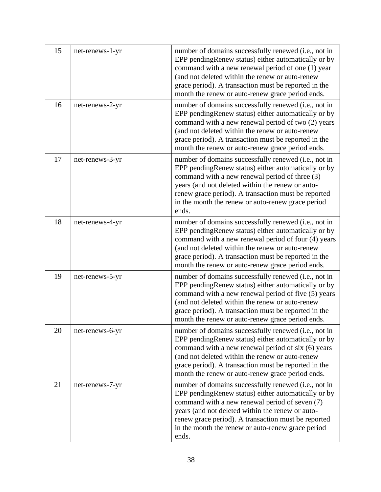| 15 | net-renews-1-yr | number of domains successfully renewed (i.e., not in<br>EPP pending Renew status) either automatically or by<br>command with a new renewal period of one (1) year<br>(and not deleted within the renew or auto-renew<br>grace period). A transaction must be reported in the<br>month the renew or auto-renew grace period ends.        |
|----|-----------------|-----------------------------------------------------------------------------------------------------------------------------------------------------------------------------------------------------------------------------------------------------------------------------------------------------------------------------------------|
| 16 | net-renews-2-yr | number of domains successfully renewed (i.e., not in<br>EPP pending Renew status) either automatically or by<br>command with a new renewal period of two (2) years<br>(and not deleted within the renew or auto-renew<br>grace period). A transaction must be reported in the<br>month the renew or auto-renew grace period ends.       |
| 17 | net-renews-3-yr | number of domains successfully renewed (i.e., not in<br>EPP pending Renew status) either automatically or by<br>command with a new renewal period of three (3)<br>years (and not deleted within the renew or auto-<br>renew grace period). A transaction must be reported<br>in the month the renew or auto-renew grace period<br>ends. |
| 18 | net-renews-4-yr | number of domains successfully renewed (i.e., not in<br>EPP pending Renew status) either automatically or by<br>command with a new renewal period of four (4) years<br>(and not deleted within the renew or auto-renew<br>grace period). A transaction must be reported in the<br>month the renew or auto-renew grace period ends.      |
| 19 | net-renews-5-yr | number of domains successfully renewed (i.e., not in<br>EPP pending Renew status) either automatically or by<br>command with a new renewal period of five (5) years<br>(and not deleted within the renew or auto-renew<br>grace period). A transaction must be reported in the<br>month the renew or auto-renew grace period ends.      |
| 20 | net-renews-6-yr | number of domains successfully renewed (i.e., not in<br>EPP pending Renew status) either automatically or by<br>command with a new renewal period of six (6) years<br>(and not deleted within the renew or auto-renew<br>grace period). A transaction must be reported in the<br>month the renew or auto-renew grace period ends.       |
| 21 | net-renews-7-yr | number of domains successfully renewed (i.e., not in<br>EPP pending Renew status) either automatically or by<br>command with a new renewal period of seven (7)<br>years (and not deleted within the renew or auto-<br>renew grace period). A transaction must be reported<br>in the month the renew or auto-renew grace period<br>ends. |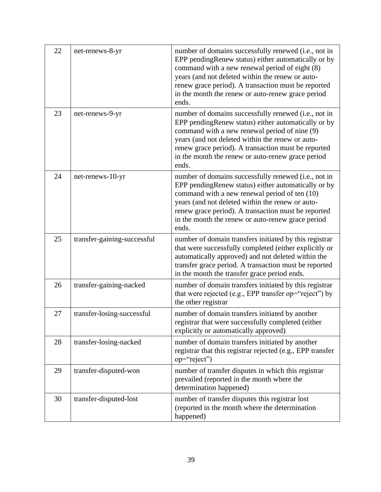| 22 | net-renews-8-yr             | number of domains successfully renewed (i.e., not in<br>EPP pending Renew status) either automatically or by<br>command with a new renewal period of eight (8)<br>years (and not deleted within the renew or auto-<br>renew grace period). A transaction must be reported<br>in the month the renew or auto-renew grace period<br>ends. |
|----|-----------------------------|-----------------------------------------------------------------------------------------------------------------------------------------------------------------------------------------------------------------------------------------------------------------------------------------------------------------------------------------|
| 23 | net-renews-9-yr             | number of domains successfully renewed (i.e., not in<br>EPP pendingRenew status) either automatically or by<br>command with a new renewal period of nine (9)<br>years (and not deleted within the renew or auto-<br>renew grace period). A transaction must be reported<br>in the month the renew or auto-renew grace period<br>ends.   |
| 24 | net-renews-10-yr            | number of domains successfully renewed (i.e., not in<br>EPP pendingRenew status) either automatically or by<br>command with a new renewal period of ten (10)<br>years (and not deleted within the renew or auto-<br>renew grace period). A transaction must be reported<br>in the month the renew or auto-renew grace period<br>ends.   |
| 25 | transfer-gaining-successful | number of domain transfers initiated by this registrar<br>that were successfully completed (either explicitly or<br>automatically approved) and not deleted within the<br>transfer grace period. A transaction must be reported<br>in the month the transfer grace period ends.                                                         |
| 26 | transfer-gaining-nacked     | number of domain transfers initiated by this registrar<br>that were rejected (e.g., EPP transfer op="reject") by<br>the other registrar                                                                                                                                                                                                 |
| 27 | transfer-losing-successful  | number of domain transfers initiated by another<br>registrar that were successfully completed (either<br>explicitly or automatically approved)                                                                                                                                                                                          |
| 28 | transfer-losing-nacked      | number of domain transfers initiated by another<br>registrar that this registrar rejected (e.g., EPP transfer<br>op="reject")                                                                                                                                                                                                           |
| 29 | transfer-disputed-won       | number of transfer disputes in which this registrar<br>prevailed (reported in the month where the<br>determination happened)                                                                                                                                                                                                            |
| 30 | transfer-disputed-lost      | number of transfer disputes this registrar lost<br>(reported in the month where the determination<br>happened)                                                                                                                                                                                                                          |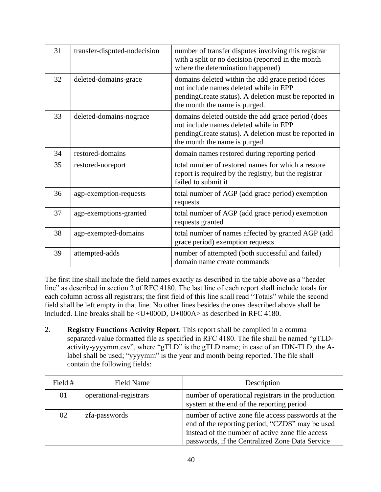| 31 | transfer-disputed-nodecision | number of transfer disputes involving this registrar<br>with a split or no decision (reported in the month<br>where the determination happened)                                        |
|----|------------------------------|----------------------------------------------------------------------------------------------------------------------------------------------------------------------------------------|
| 32 | deleted-domains-grace        | domains deleted within the add grace period (does<br>not include names deleted while in EPP<br>pending Create status). A deletion must be reported in<br>the month the name is purged. |
| 33 | deleted-domains-nograce      | domains deleted outside the add grace period (does<br>not include names deleted while in EPP<br>pendingCreate status). A deletion must be reported in<br>the month the name is purged. |
| 34 | restored-domains             | domain names restored during reporting period                                                                                                                                          |
| 35 | restored-noreport            | total number of restored names for which a restore<br>report is required by the registry, but the registrar<br>failed to submit it                                                     |
| 36 | agp-exemption-requests       | total number of AGP (add grace period) exemption<br>requests                                                                                                                           |
| 37 | agp-exemptions-granted       | total number of AGP (add grace period) exemption<br>requests granted                                                                                                                   |
| 38 | agp-exempted-domains         | total number of names affected by granted AGP (add<br>grace period) exemption requests                                                                                                 |
| 39 | attempted-adds               | number of attempted (both successful and failed)<br>domain name create commands                                                                                                        |

The first line shall include the field names exactly as described in the table above as a "header line" as described in section 2 of RFC 4180. The last line of each report shall include totals for each column across all registrars; the first field of this line shall read "Totals" while the second field shall be left empty in that line. No other lines besides the ones described above shall be included. Line breaks shall be  $\langle U+000D, U+000A \rangle$  as described in RFC 4180.

2. **Registry Functions Activity Report**. This report shall be compiled in a comma separated-value formatted file as specified in RFC 4180. The file shall be named "gTLDactivity-yyyymm.csv", where "gTLD" is the gTLD name; in case of an IDN-TLD, the Alabel shall be used; "yyyymm" is the year and month being reported. The file shall contain the following fields:

| Field # | Field Name             | Description                                                                                                                                                                                                  |
|---------|------------------------|--------------------------------------------------------------------------------------------------------------------------------------------------------------------------------------------------------------|
| 01      | operational-registrars | number of operational registrars in the production<br>system at the end of the reporting period                                                                                                              |
| 02      | zfa-passwords          | number of active zone file access passwords at the<br>end of the reporting period; "CZDS" may be used<br>instead of the number of active zone file access<br>passwords, if the Centralized Zone Data Service |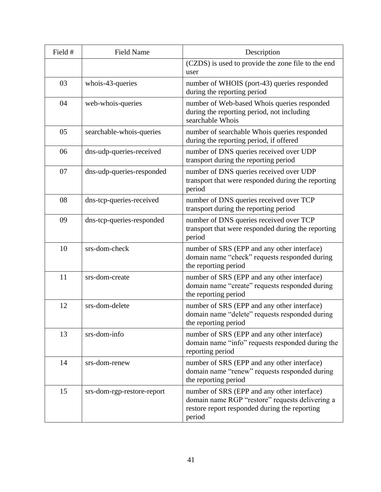| Field # | <b>Field Name</b>          | Description                                                                                                                                               |
|---------|----------------------------|-----------------------------------------------------------------------------------------------------------------------------------------------------------|
|         |                            | (CZDS) is used to provide the zone file to the end<br>user                                                                                                |
| 03      | whois-43-queries           | number of WHOIS (port-43) queries responded<br>during the reporting period                                                                                |
| 04      | web-whois-queries          | number of Web-based Whois queries responded<br>during the reporting period, not including<br>searchable Whois                                             |
| 05      | searchable-whois-queries   | number of searchable Whois queries responded<br>during the reporting period, if offered                                                                   |
| 06      | dns-udp-queries-received   | number of DNS queries received over UDP<br>transport during the reporting period                                                                          |
| 07      | dns-udp-queries-responded  | number of DNS queries received over UDP<br>transport that were responded during the reporting<br>period                                                   |
| 08      | dns-tcp-queries-received   | number of DNS queries received over TCP<br>transport during the reporting period                                                                          |
| 09      | dns-tcp-queries-responded  | number of DNS queries received over TCP<br>transport that were responded during the reporting<br>period                                                   |
| 10      | srs-dom-check              | number of SRS (EPP and any other interface)<br>domain name "check" requests responded during<br>the reporting period                                      |
| 11      | srs-dom-create             | number of SRS (EPP and any other interface)<br>domain name "create" requests responded during<br>the reporting period                                     |
| 12      | srs-dom-delete             | number of SRS (EPP and any other interface)<br>domain name "delete" requests responded during<br>the reporting period                                     |
| 13      | srs-dom-info               | number of SRS (EPP and any other interface)<br>domain name "info" requests responded during the<br>reporting period                                       |
| 14      | srs-dom-renew              | number of SRS (EPP and any other interface)<br>domain name "renew" requests responded during<br>the reporting period                                      |
| 15      | srs-dom-rgp-restore-report | number of SRS (EPP and any other interface)<br>domain name RGP "restore" requests delivering a<br>restore report responded during the reporting<br>period |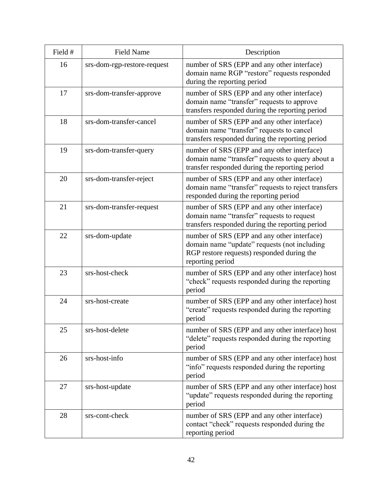| Field # | <b>Field Name</b>           | Description                                                                                                                                                   |
|---------|-----------------------------|---------------------------------------------------------------------------------------------------------------------------------------------------------------|
| 16      | srs-dom-rgp-restore-request | number of SRS (EPP and any other interface)<br>domain name RGP "restore" requests responded<br>during the reporting period                                    |
| 17      | srs-dom-transfer-approve    | number of SRS (EPP and any other interface)<br>domain name "transfer" requests to approve<br>transfers responded during the reporting period                  |
| 18      | srs-dom-transfer-cancel     | number of SRS (EPP and any other interface)<br>domain name "transfer" requests to cancel<br>transfers responded during the reporting period                   |
| 19      | srs-dom-transfer-query      | number of SRS (EPP and any other interface)<br>domain name "transfer" requests to query about a<br>transfer responded during the reporting period             |
| 20      | srs-dom-transfer-reject     | number of SRS (EPP and any other interface)<br>domain name "transfer" requests to reject transfers<br>responded during the reporting period                   |
| 21      | srs-dom-transfer-request    | number of SRS (EPP and any other interface)<br>domain name "transfer" requests to request<br>transfers responded during the reporting period                  |
| 22      | srs-dom-update              | number of SRS (EPP and any other interface)<br>domain name "update" requests (not including<br>RGP restore requests) responded during the<br>reporting period |
| 23      | srs-host-check              | number of SRS (EPP and any other interface) host<br>"check" requests responded during the reporting<br>period                                                 |
| 24      | srs-host-create             | number of SRS (EPP and any other interface) host<br>"create" requests responded during the reporting<br>period                                                |
| 25      | srs-host-delete             | number of SRS (EPP and any other interface) host<br>"delete" requests responded during the reporting<br>period                                                |
| 26      | srs-host-info               | number of SRS (EPP and any other interface) host<br>"info" requests responded during the reporting<br>period                                                  |
| 27      | srs-host-update             | number of SRS (EPP and any other interface) host<br>"update" requests responded during the reporting<br>period                                                |
| 28      | srs-cont-check              | number of SRS (EPP and any other interface)<br>contact "check" requests responded during the<br>reporting period                                              |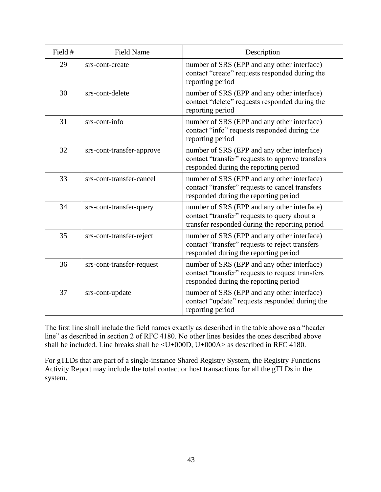| Field # | <b>Field Name</b>         | Description                                                                                                                                   |
|---------|---------------------------|-----------------------------------------------------------------------------------------------------------------------------------------------|
| 29      | srs-cont-create           | number of SRS (EPP and any other interface)<br>contact "create" requests responded during the<br>reporting period                             |
| 30      | srs-cont-delete           | number of SRS (EPP and any other interface)<br>contact "delete" requests responded during the<br>reporting period                             |
| 31      | srs-cont-info             | number of SRS (EPP and any other interface)<br>contact "info" requests responded during the<br>reporting period                               |
| 32      | srs-cont-transfer-approve | number of SRS (EPP and any other interface)<br>contact "transfer" requests to approve transfers<br>responded during the reporting period      |
| 33      | srs-cont-transfer-cancel  | number of SRS (EPP and any other interface)<br>contact "transfer" requests to cancel transfers<br>responded during the reporting period       |
| 34      | srs-cont-transfer-query   | number of SRS (EPP and any other interface)<br>contact "transfer" requests to query about a<br>transfer responded during the reporting period |
| 35      | srs-cont-transfer-reject  | number of SRS (EPP and any other interface)<br>contact "transfer" requests to reject transfers<br>responded during the reporting period       |
| 36      | srs-cont-transfer-request | number of SRS (EPP and any other interface)<br>contact "transfer" requests to request transfers<br>responded during the reporting period      |
| 37      | srs-cont-update           | number of SRS (EPP and any other interface)<br>contact "update" requests responded during the<br>reporting period                             |

The first line shall include the field names exactly as described in the table above as a "header line" as described in section 2 of RFC 4180. No other lines besides the ones described above shall be included. Line breaks shall be <U+000D, U+000A> as described in RFC 4180.

For gTLDs that are part of a single-instance Shared Registry System, the Registry Functions Activity Report may include the total contact or host transactions for all the gTLDs in the system.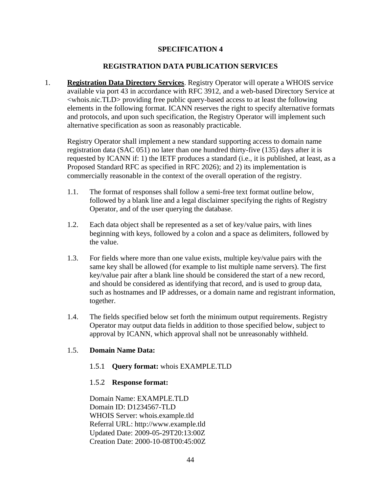# **REGISTRATION DATA PUBLICATION SERVICES**

1. **Registration Data Directory Services**. Registry Operator will operate a WHOIS service available via port 43 in accordance with RFC 3912, and a web-based Directory Service at <whois.nic.TLD> providing free public query-based access to at least the following elements in the following format. ICANN reserves the right to specify alternative formats and protocols, and upon such specification, the Registry Operator will implement such alternative specification as soon as reasonably practicable.

Registry Operator shall implement a new standard supporting access to domain name registration data (SAC 051) no later than one hundred thirty-five (135) days after it is requested by ICANN if: 1) the IETF produces a standard (i.e., it is published, at least, as a Proposed Standard RFC as specified in RFC 2026); and 2) its implementation is commercially reasonable in the context of the overall operation of the registry.

- 1.1. The format of responses shall follow a semi-free text format outline below, followed by a blank line and a legal disclaimer specifying the rights of Registry Operator, and of the user querying the database.
- 1.2. Each data object shall be represented as a set of key/value pairs, with lines beginning with keys, followed by a colon and a space as delimiters, followed by the value.
- 1.3. For fields where more than one value exists, multiple key/value pairs with the same key shall be allowed (for example to list multiple name servers). The first key/value pair after a blank line should be considered the start of a new record, and should be considered as identifying that record, and is used to group data, such as hostnames and IP addresses, or a domain name and registrant information, together.
- 1.4. The fields specified below set forth the minimum output requirements. Registry Operator may output data fields in addition to those specified below, subject to approval by ICANN, which approval shall not be unreasonably withheld.

#### 1.5. **Domain Name Data:**

#### 1.5.1 **Query format:** whois EXAMPLE.TLD

#### 1.5.2 **Response format:**

Domain Name: EXAMPLE.TLD Domain ID: D1234567-TLD WHOIS Server: whois.example.tld Referral URL: http://www.example.tld Updated Date: 2009-05-29T20:13:00Z Creation Date: 2000-10-08T00:45:00Z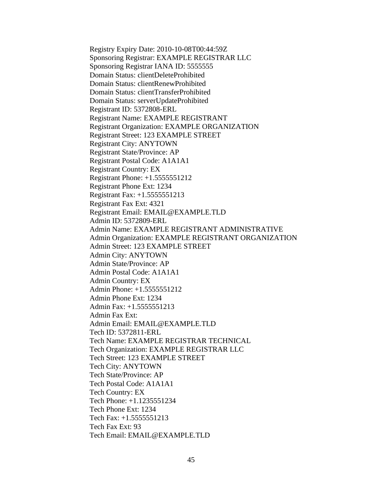Registry Expiry Date: 2010-10-08T00:44:59Z Sponsoring Registrar: EXAMPLE REGISTRAR LLC Sponsoring Registrar IANA ID: 5555555 Domain Status: clientDeleteProhibited Domain Status: clientRenewProhibited Domain Status: clientTransferProhibited Domain Status: serverUpdateProhibited Registrant ID: 5372808-ERL Registrant Name: EXAMPLE REGISTRANT Registrant Organization: EXAMPLE ORGANIZATION Registrant Street: 123 EXAMPLE STREET Registrant City: ANYTOWN Registrant State/Province: AP Registrant Postal Code: A1A1A1 Registrant Country: EX Registrant Phone: +1.5555551212 Registrant Phone Ext: 1234 Registrant Fax: +1.5555551213 Registrant Fax Ext: 4321 Registrant Email: EMAIL@EXAMPLE.TLD Admin ID: 5372809-ERL Admin Name: EXAMPLE REGISTRANT ADMINISTRATIVE Admin Organization: EXAMPLE REGISTRANT ORGANIZATION Admin Street: 123 EXAMPLE STREET Admin City: ANYTOWN Admin State/Province: AP Admin Postal Code: A1A1A1 Admin Country: EX Admin Phone: +1.5555551212 Admin Phone Ext: 1234 Admin Fax: +1.5555551213 Admin Fax Ext: Admin Email: EMAIL@EXAMPLE.TLD Tech ID: 5372811-ERL Tech Name: EXAMPLE REGISTRAR TECHNICAL Tech Organization: EXAMPLE REGISTRAR LLC Tech Street: 123 EXAMPLE STREET Tech City: ANYTOWN Tech State/Province: AP Tech Postal Code: A1A1A1 Tech Country: EX Tech Phone: +1.1235551234 Tech Phone Ext: 1234 Tech Fax: +1.5555551213 Tech Fax Ext: 93 Tech Email: EMAIL@EXAMPLE.TLD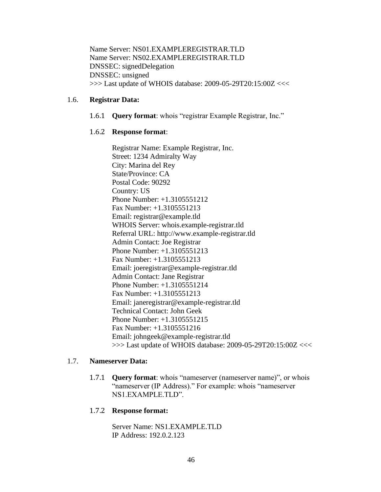Name Server: NS01.EXAMPLEREGISTRAR.TLD Name Server: NS02.EXAMPLEREGISTRAR.TLD DNSSEC: signedDelegation DNSSEC: unsigned >>> Last update of WHOIS database: 2009-05-29T20:15:00Z <<<

#### 1.6. **Registrar Data:**

1.6.1 **Query format**: whois "registrar Example Registrar, Inc."

#### 1.6.2 **Response format**:

Registrar Name: Example Registrar, Inc. Street: 1234 Admiralty Way City: Marina del Rey State/Province: CA Postal Code: 90292 Country: US Phone Number: +1.3105551212 Fax Number: +1.3105551213 Email: registrar@example.tld WHOIS Server: whois.example-registrar.tld Referral URL: http://www.example-registrar.tld Admin Contact: Joe Registrar Phone Number: +1.3105551213 Fax Number: +1.3105551213 Email: joeregistrar@example-registrar.tld Admin Contact: Jane Registrar Phone Number: +1.3105551214 Fax Number: +1.3105551213 Email: janeregistrar@example-registrar.tld Technical Contact: John Geek Phone Number: +1.3105551215 Fax Number: +1.3105551216 Email: johngeek@example-registrar.tld >>> Last update of WHOIS database: 2009-05-29T20:15:00Z <<<

#### 1.7. **Nameserver Data:**

1.7.1 **Query format**: whois "nameserver (nameserver name)", or whois "nameserver (IP Address)." For example: whois "nameserver NS1.EXAMPLE.TLD".

#### 1.7.2 **Response format:**

Server Name: NS1.EXAMPLE.TLD IP Address: 192.0.2.123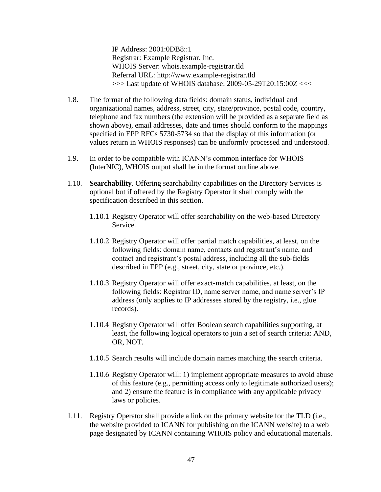IP Address: 2001:0DB8::1 Registrar: Example Registrar, Inc. WHOIS Server: whois.example-registrar.tld Referral URL: http://www.example-registrar.tld >>> Last update of WHOIS database: 2009-05-29T20:15:00Z <<<

- 1.8. The format of the following data fields: domain status, individual and organizational names, address, street, city, state/province, postal code, country, telephone and fax numbers (the extension will be provided as a separate field as shown above), email addresses, date and times should conform to the mappings specified in EPP RFCs 5730-5734 so that the display of this information (or values return in WHOIS responses) can be uniformly processed and understood.
- 1.9. In order to be compatible with ICANN's common interface for WHOIS (InterNIC), WHOIS output shall be in the format outline above.
- 1.10. **Searchability**. Offering searchability capabilities on the Directory Services is optional but if offered by the Registry Operator it shall comply with the specification described in this section.
	- 1.10.1 Registry Operator will offer searchability on the web-based Directory Service.
	- 1.10.2 Registry Operator will offer partial match capabilities, at least, on the following fields: domain name, contacts and registrant's name, and contact and registrant's postal address, including all the sub-fields described in EPP (e.g., street, city, state or province, etc.).
	- 1.10.3 Registry Operator will offer exact-match capabilities, at least, on the following fields: Registrar ID, name server name, and name server's IP address (only applies to IP addresses stored by the registry, i.e., glue records).
	- 1.10.4 Registry Operator will offer Boolean search capabilities supporting, at least, the following logical operators to join a set of search criteria: AND, OR, NOT.
	- 1.10.5 Search results will include domain names matching the search criteria.
	- 1.10.6 Registry Operator will: 1) implement appropriate measures to avoid abuse of this feature (e.g., permitting access only to legitimate authorized users); and 2) ensure the feature is in compliance with any applicable privacy laws or policies.
- 1.11. Registry Operator shall provide a link on the primary website for the TLD (i.e., the website provided to ICANN for publishing on the ICANN website) to a web page designated by ICANN containing WHOIS policy and educational materials.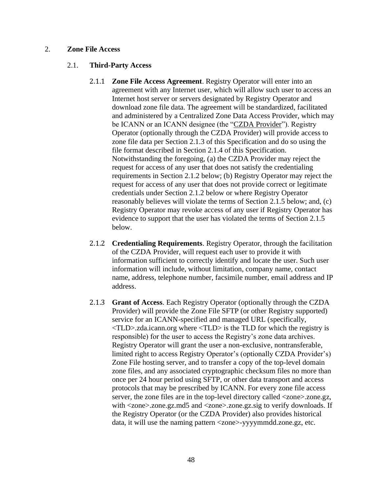#### 2. **Zone File Access**

#### 2.1. **Third-Party Access**

- 2.1.1 **Zone File Access Agreement**. Registry Operator will enter into an agreement with any Internet user, which will allow such user to access an Internet host server or servers designated by Registry Operator and download zone file data. The agreement will be standardized, facilitated and administered by a Centralized Zone Data Access Provider, which may be ICANN or an ICANN designee (the "CZDA Provider"). Registry Operator (optionally through the CZDA Provider) will provide access to zone file data per Section 2.1.3 of this Specification and do so using the file format described in Section 2.1.4 of this Specification. Notwithstanding the foregoing, (a) the CZDA Provider may reject the request for access of any user that does not satisfy the credentialing requirements in Section 2.1.2 below; (b) Registry Operator may reject the request for access of any user that does not provide correct or legitimate credentials under Section 2.1.2 below or where Registry Operator reasonably believes will violate the terms of Section 2.1.5 below; and, (c) Registry Operator may revoke access of any user if Registry Operator has evidence to support that the user has violated the terms of Section 2.1.5 below.
- 2.1.2 **Credentialing Requirements**. Registry Operator, through the facilitation of the CZDA Provider, will request each user to provide it with information sufficient to correctly identify and locate the user. Such user information will include, without limitation, company name, contact name, address, telephone number, facsimile number, email address and IP address.
- 2.1.3 **Grant of Access**. Each Registry Operator (optionally through the CZDA Provider) will provide the Zone File SFTP (or other Registry supported) service for an ICANN-specified and managed URL (specifically,  $\langle TLD \rangle$ .zda.icann.org where  $\langle TLD \rangle$  is the TLD for which the registry is responsible) for the user to access the Registry's zone data archives. Registry Operator will grant the user a non-exclusive, nontransferable, limited right to access Registry Operator's (optionally CZDA Provider's) Zone File hosting server, and to transfer a copy of the top-level domain zone files, and any associated cryptographic checksum files no more than once per 24 hour period using SFTP, or other data transport and access protocols that may be prescribed by ICANN. For every zone file access server, the zone files are in the top-level directory called <zone>.zone.gz, with <zone>.zone.gz.md5 and <zone>.zone.gz.sig to verify downloads. If the Registry Operator (or the CZDA Provider) also provides historical data, it will use the naming pattern <zone>-yyyymmdd.zone.gz, etc.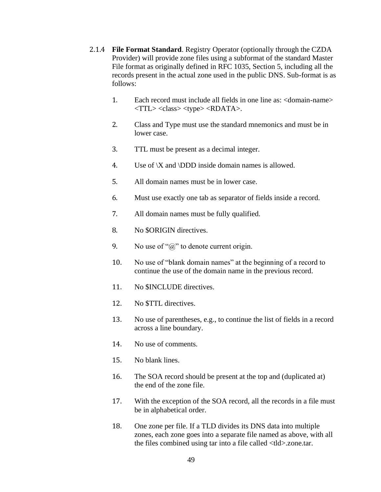- 2.1.4 **File Format Standard**. Registry Operator (optionally through the CZDA Provider) will provide zone files using a subformat of the standard Master File format as originally defined in RFC 1035, Section 5, including all the records present in the actual zone used in the public DNS. Sub-format is as follows:
	- 1. Each record must include all fields in one line as: <domain-name>  $\langle TTL \rangle \langle class \rangle \langle type \rangle \langle RDATA \rangle.$
	- 2. Class and Type must use the standard mnemonics and must be in lower case.
	- 3. TTL must be present as a decimal integer.
	- 4. Use of  $\X$  and  $\DDD$  inside domain names is allowed.
	- 5. All domain names must be in lower case.
	- 6. Must use exactly one tab as separator of fields inside a record.
	- 7. All domain names must be fully qualified.
	- 8. No \$ORIGIN directives.
	- 9. No use of " $\hat{a}$ " to denote current origin.
	- 10. No use of "blank domain names" at the beginning of a record to continue the use of the domain name in the previous record.
	- 11. No \$INCLUDE directives.
	- 12. No \$TTL directives.
	- 13. No use of parentheses, e.g., to continue the list of fields in a record across a line boundary.
	- 14. No use of comments.
	- 15. No blank lines.
	- 16. The SOA record should be present at the top and (duplicated at) the end of the zone file.
	- 17. With the exception of the SOA record, all the records in a file must be in alphabetical order.
	- 18. One zone per file. If a TLD divides its DNS data into multiple zones, each zone goes into a separate file named as above, with all the files combined using tar into a file called <tld>.zone.tar.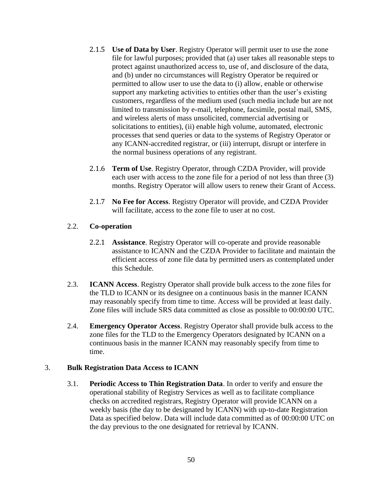- 2.1.5 **Use of Data by User**. Registry Operator will permit user to use the zone file for lawful purposes; provided that (a) user takes all reasonable steps to protect against unauthorized access to, use of, and disclosure of the data, and (b) under no circumstances will Registry Operator be required or permitted to allow user to use the data to (i) allow, enable or otherwise support any marketing activities to entities other than the user's existing customers, regardless of the medium used (such media include but are not limited to transmission by e-mail, telephone, facsimile, postal mail, SMS, and wireless alerts of mass unsolicited, commercial advertising or solicitations to entities), (ii) enable high volume, automated, electronic processes that send queries or data to the systems of Registry Operator or any ICANN-accredited registrar, or (iii) interrupt, disrupt or interfere in the normal business operations of any registrant.
- 2.1.6 **Term of Use**. Registry Operator, through CZDA Provider, will provide each user with access to the zone file for a period of not less than three (3) months. Registry Operator will allow users to renew their Grant of Access.
- 2.1.7 **No Fee for Access**. Registry Operator will provide, and CZDA Provider will facilitate, access to the zone file to user at no cost.

# 2.2. **Co-operation**

- 2.2.1 **Assistance**. Registry Operator will co-operate and provide reasonable assistance to ICANN and the CZDA Provider to facilitate and maintain the efficient access of zone file data by permitted users as contemplated under this Schedule.
- 2.3. **ICANN Access**. Registry Operator shall provide bulk access to the zone files for the TLD to ICANN or its designee on a continuous basis in the manner ICANN may reasonably specify from time to time. Access will be provided at least daily. Zone files will include SRS data committed as close as possible to 00:00:00 UTC.
- 2.4. **Emergency Operator Access**. Registry Operator shall provide bulk access to the zone files for the TLD to the Emergency Operators designated by ICANN on a continuous basis in the manner ICANN may reasonably specify from time to time.

#### 3. **Bulk Registration Data Access to ICANN**

3.1. **Periodic Access to Thin Registration Data**. In order to verify and ensure the operational stability of Registry Services as well as to facilitate compliance checks on accredited registrars, Registry Operator will provide ICANN on a weekly basis (the day to be designated by ICANN) with up-to-date Registration Data as specified below. Data will include data committed as of 00:00:00 UTC on the day previous to the one designated for retrieval by ICANN.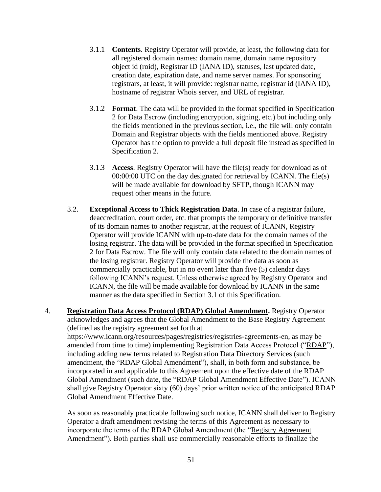- 3.1.1 **Contents**. Registry Operator will provide, at least, the following data for all registered domain names: domain name, domain name repository object id (roid), Registrar ID (IANA ID), statuses, last updated date, creation date, expiration date, and name server names. For sponsoring registrars, at least, it will provide: registrar name, registrar id (IANA ID), hostname of registrar Whois server, and URL of registrar.
- 3.1.2 **Format**. The data will be provided in the format specified in Specification 2 for Data Escrow (including encryption, signing, etc.) but including only the fields mentioned in the previous section, i.e., the file will only contain Domain and Registrar objects with the fields mentioned above. Registry Operator has the option to provide a full deposit file instead as specified in Specification 2.
- 3.1.3 **Access**. Registry Operator will have the file(s) ready for download as of 00:00:00 UTC on the day designated for retrieval by ICANN. The file(s) will be made available for download by SFTP, though ICANN may request other means in the future.
- 3.2. **Exceptional Access to Thick Registration Data**. In case of a registrar failure, deaccreditation, court order, etc. that prompts the temporary or definitive transfer of its domain names to another registrar, at the request of ICANN, Registry Operator will provide ICANN with up-to-date data for the domain names of the losing registrar. The data will be provided in the format specified in Specification 2 for Data Escrow. The file will only contain data related to the domain names of the losing registrar. Registry Operator will provide the data as soon as commercially practicable, but in no event later than five (5) calendar days following ICANN's request. Unless otherwise agreed by Registry Operator and ICANN, the file will be made available for download by ICANN in the same manner as the data specified in Section 3.1 of this Specification.
- 4. **Registration Data Access Protocol (RDAP) Global Amendment.** Registry Operator acknowledges and agrees that the Global Amendment to the Base Registry Agreement (defined as the registry agreement set forth at https://www.icann.org/resources/pages/registries/registries-agreements-en, as may be amended from time to time) implementing Registration Data Access Protocol ("RDAP"), including adding new terms related to Registration Data Directory Services (such amendment, the "RDAP Global Amendment"), shall, in both form and substance, be incorporated in and applicable to this Agreement upon the effective date of the RDAP Global Amendment (such date, the "RDAP Global Amendment Effective Date"). ICANN shall give Registry Operator sixty (60) days' prior written notice of the anticipated RDAP Global Amendment Effective Date.

As soon as reasonably practicable following such notice, ICANN shall deliver to Registry Operator a draft amendment revising the terms of this Agreement as necessary to incorporate the terms of the RDAP Global Amendment (the "Registry Agreement Amendment"). Both parties shall use commercially reasonable efforts to finalize the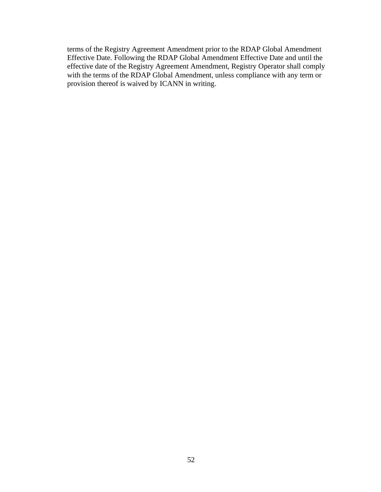terms of the Registry Agreement Amendment prior to the RDAP Global Amendment Effective Date. Following the RDAP Global Amendment Effective Date and until the effective date of the Registry Agreement Amendment, Registry Operator shall comply with the terms of the RDAP Global Amendment, unless compliance with any term or provision thereof is waived by ICANN in writing.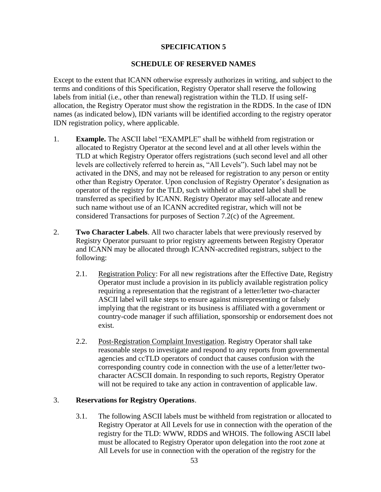#### **SCHEDULE OF RESERVED NAMES**

Except to the extent that ICANN otherwise expressly authorizes in writing, and subject to the terms and conditions of this Specification, Registry Operator shall reserve the following labels from initial (i.e., other than renewal) registration within the TLD. If using selfallocation, the Registry Operator must show the registration in the RDDS. In the case of IDN names (as indicated below), IDN variants will be identified according to the registry operator IDN registration policy, where applicable.

- 1. **Example.** The ASCII label "EXAMPLE" shall be withheld from registration or allocated to Registry Operator at the second level and at all other levels within the TLD at which Registry Operator offers registrations (such second level and all other levels are collectively referred to herein as, "All Levels"). Such label may not be activated in the DNS, and may not be released for registration to any person or entity other than Registry Operator. Upon conclusion of Registry Operator's designation as operator of the registry for the TLD, such withheld or allocated label shall be transferred as specified by ICANN. Registry Operator may self-allocate and renew such name without use of an ICANN accredited registrar, which will not be considered Transactions for purposes of Section 7.2(c) of the Agreement.
- 2. **Two Character Labels**. All two character labels that were previously reserved by Registry Operator pursuant to prior registry agreements between Registry Operator and ICANN may be allocated through ICANN-accredited registrars, subject to the following:
	- 2.1. Registration Policy: For all new registrations after the Effective Date, Registry Operator must include a provision in its publicly available registration policy requiring a representation that the registrant of a letter/letter two-character ASCII label will take steps to ensure against misrepresenting or falsely implying that the registrant or its business is affiliated with a government or country-code manager if such affiliation, sponsorship or endorsement does not exist.
	- 2.2. Post-Registration Complaint Investigation. Registry Operator shall take reasonable steps to investigate and respond to any reports from governmental agencies and ccTLD operators of conduct that causes confusion with the corresponding country code in connection with the use of a letter/letter twocharacter ACSCII domain. In responding to such reports, Registry Operator will not be required to take any action in contravention of applicable law.

#### 3. **Reservations for Registry Operations**.

3.1. The following ASCII labels must be withheld from registration or allocated to Registry Operator at All Levels for use in connection with the operation of the registry for the TLD: WWW, RDDS and WHOIS. The following ASCII label must be allocated to Registry Operator upon delegation into the root zone at All Levels for use in connection with the operation of the registry for the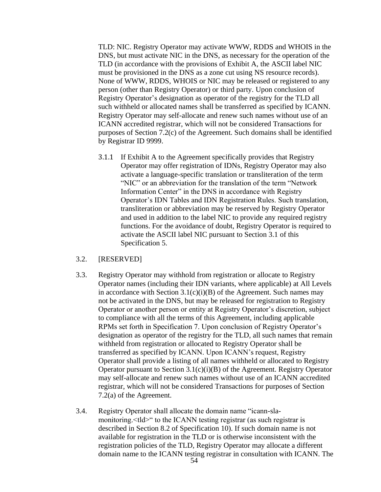TLD: NIC. Registry Operator may activate WWW, RDDS and WHOIS in the DNS, but must activate NIC in the DNS, as necessary for the operation of the TLD (in accordance with the provisions of Exhibit A, the ASCII label NIC must be provisioned in the DNS as a zone cut using NS resource records). None of WWW, RDDS, WHOIS or NIC may be released or registered to any person (other than Registry Operator) or third party. Upon conclusion of Registry Operator's designation as operator of the registry for the TLD all such withheld or allocated names shall be transferred as specified by ICANN. Registry Operator may self-allocate and renew such names without use of an ICANN accredited registrar, which will not be considered Transactions for purposes of Section 7.2(c) of the Agreement. Such domains shall be identified by Registrar ID 9999.

3.1.1 If Exhibit A to the Agreement specifically provides that Registry Operator may offer registration of IDNs, Registry Operator may also activate a language-specific translation or transliteration of the term "NIC" or an abbreviation for the translation of the term "Network Information Center" in the DNS in accordance with Registry Operator's IDN Tables and IDN Registration Rules. Such translation, transliteration or abbreviation may be reserved by Registry Operator and used in addition to the label NIC to provide any required registry functions. For the avoidance of doubt, Registry Operator is required to activate the ASCII label NIC pursuant to Section 3.1 of this Specification 5.

#### 3.2. [RESERVED]

- 3.3. Registry Operator may withhold from registration or allocate to Registry Operator names (including their IDN variants, where applicable) at All Levels in accordance with Section  $3.1(c)(i)(B)$  of the Agreement. Such names may not be activated in the DNS, but may be released for registration to Registry Operator or another person or entity at Registry Operator's discretion, subject to compliance with all the terms of this Agreement, including applicable RPMs set forth in Specification 7. Upon conclusion of Registry Operator's designation as operator of the registry for the TLD, all such names that remain withheld from registration or allocated to Registry Operator shall be transferred as specified by ICANN. Upon ICANN's request, Registry Operator shall provide a listing of all names withheld or allocated to Registry Operator pursuant to Section  $3.1(c)(i)(B)$  of the Agreement. Registry Operator may self-allocate and renew such names without use of an ICANN accredited registrar, which will not be considered Transactions for purposes of Section 7.2(a) of the Agreement.
- 3.4. Registry Operator shall allocate the domain name "icann-slamonitoring.<tld>" to the ICANN testing registrar (as such registrar is described in Section 8.2 of Specification 10). If such domain name is not available for registration in the TLD or is otherwise inconsistent with the registration policies of the TLD, Registry Operator may allocate a different domain name to the ICANN testing registrar in consultation with ICANN. The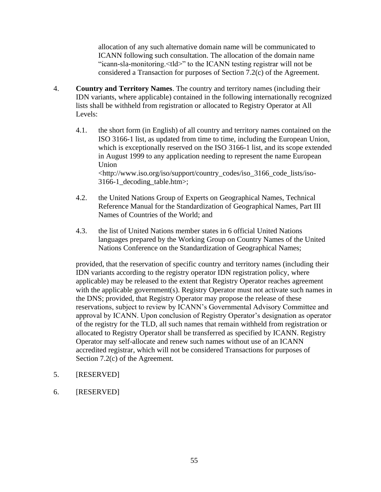allocation of any such alternative domain name will be communicated to ICANN following such consultation. The allocation of the domain name "icann-sla-monitoring.<tld>" to the ICANN testing registrar will not be considered a Transaction for purposes of Section 7.2(c) of the Agreement.

- 4. **Country and Territory Names**. The country and territory names (including their IDN variants, where applicable) contained in the following internationally recognized lists shall be withheld from registration or allocated to Registry Operator at All Levels:
	- 4.1. the short form (in English) of all country and territory names contained on the ISO 3166-1 list, as updated from time to time, including the European Union, which is exceptionally reserved on the ISO 3166-1 list, and its scope extended in August 1999 to any application needing to represent the name European Union <http://www.iso.org/iso/support/country\_codes/iso\_3166\_code\_lists/iso-3166-1\_decoding\_table.htm>;
	- 4.2. the United Nations Group of Experts on Geographical Names, Technical Reference Manual for the Standardization of Geographical Names, Part III Names of Countries of the World; and
	- 4.3. the list of United Nations member states in 6 official United Nations languages prepared by the Working Group on Country Names of the United Nations Conference on the Standardization of Geographical Names;

provided, that the reservation of specific country and territory names (including their IDN variants according to the registry operator IDN registration policy, where applicable) may be released to the extent that Registry Operator reaches agreement with the applicable government(s). Registry Operator must not activate such names in the DNS; provided, that Registry Operator may propose the release of these reservations, subject to review by ICANN's Governmental Advisory Committee and approval by ICANN. Upon conclusion of Registry Operator's designation as operator of the registry for the TLD, all such names that remain withheld from registration or allocated to Registry Operator shall be transferred as specified by ICANN. Registry Operator may self-allocate and renew such names without use of an ICANN accredited registrar, which will not be considered Transactions for purposes of Section 7.2(c) of the Agreement.

- 5. [RESERVED]
- 6. [RESERVED]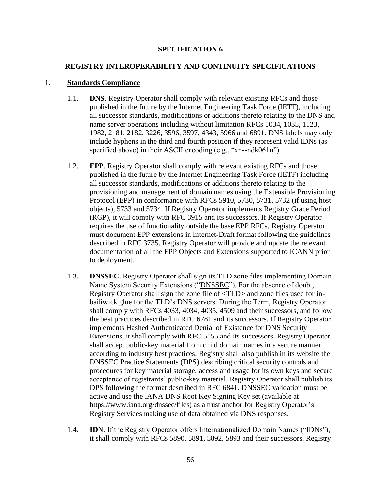## **REGISTRY INTEROPERABILITY AND CONTINUITY SPECIFICATIONS**

#### 1. **Standards Compliance**

- 1.1. **DNS**. Registry Operator shall comply with relevant existing RFCs and those published in the future by the Internet Engineering Task Force (IETF), including all successor standards, modifications or additions thereto relating to the DNS and name server operations including without limitation RFCs 1034, 1035, 1123, 1982, 2181, 2182, 3226, 3596, 3597, 4343, 5966 and 6891. DNS labels may only include hyphens in the third and fourth position if they represent valid IDNs (as specified above) in their ASCII encoding (e.g., "xn--ndk061n").
- 1.2. **EPP**. Registry Operator shall comply with relevant existing RFCs and those published in the future by the Internet Engineering Task Force (IETF) including all successor standards, modifications or additions thereto relating to the provisioning and management of domain names using the Extensible Provisioning Protocol (EPP) in conformance with RFCs 5910, 5730, 5731, 5732 (if using host objects), 5733 and 5734. If Registry Operator implements Registry Grace Period (RGP), it will comply with RFC 3915 and its successors. If Registry Operator requires the use of functionality outside the base EPP RFCs, Registry Operator must document EPP extensions in Internet-Draft format following the guidelines described in RFC 3735. Registry Operator will provide and update the relevant documentation of all the EPP Objects and Extensions supported to ICANN prior to deployment.
- 1.3. **DNSSEC**. Registry Operator shall sign its TLD zone files implementing Domain Name System Security Extensions ("DNSSEC"). For the absence of doubt, Registry Operator shall sign the zone file of <TLD> and zone files used for inbailiwick glue for the TLD's DNS servers. During the Term, Registry Operator shall comply with RFCs 4033, 4034, 4035, 4509 and their successors, and follow the best practices described in RFC 6781 and its successors. If Registry Operator implements Hashed Authenticated Denial of Existence for DNS Security Extensions, it shall comply with RFC 5155 and its successors. Registry Operator shall accept public-key material from child domain names in a secure manner according to industry best practices. Registry shall also publish in its website the DNSSEC Practice Statements (DPS) describing critical security controls and procedures for key material storage, access and usage for its own keys and secure acceptance of registrants' public-key material. Registry Operator shall publish its DPS following the format described in RFC 6841. DNSSEC validation must be active and use the IANA DNS Root Key Signing Key set (available at https://www.iana.org/dnssec/files) as a trust anchor for Registry Operator's Registry Services making use of data obtained via DNS responses.
- 1.4. **IDN**. If the Registry Operator offers Internationalized Domain Names ("IDNs"), it shall comply with RFCs 5890, 5891, 5892, 5893 and their successors. Registry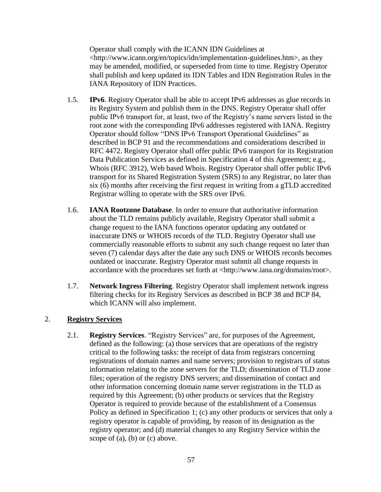Operator shall comply with the ICANN IDN Guidelines at <http://www.icann.org/en/topics/idn/implementation-guidelines.htm>, as they may be amended, modified, or superseded from time to time. Registry Operator shall publish and keep updated its IDN Tables and IDN Registration Rules in the IANA Repository of IDN Practices.

- 1.5. **IPv6**. Registry Operator shall be able to accept IPv6 addresses as glue records in its Registry System and publish them in the DNS. Registry Operator shall offer public IPv6 transport for, at least, two of the Registry's name servers listed in the root zone with the corresponding IPv6 addresses registered with IANA. Registry Operator should follow "DNS IPv6 Transport Operational Guidelines" as described in BCP 91 and the recommendations and considerations described in RFC 4472. Registry Operator shall offer public IPv6 transport for its Registration Data Publication Services as defined in Specification 4 of this Agreement; e.g., Whois (RFC 3912), Web based Whois. Registry Operator shall offer public IPv6 transport for its Shared Registration System (SRS) to any Registrar, no later than six (6) months after receiving the first request in writing from a gTLD accredited Registrar willing to operate with the SRS over IPv6.
- 1.6. **IANA Rootzone Database**. In order to ensure that authoritative information about the TLD remains publicly available, Registry Operator shall submit a change request to the IANA functions operator updating any outdated or inaccurate DNS or WHOIS records of the TLD. Registry Operator shall use commercially reasonable efforts to submit any such change request no later than seven (7) calendar days after the date any such DNS or WHOIS records becomes outdated or inaccurate. Registry Operator must submit all change requests in accordance with the procedures set forth at <http://www.iana.org/domains/root>.
- 1.7. **Network Ingress Filtering**. Registry Operator shall implement network ingress filtering checks for its Registry Services as described in BCP 38 and BCP 84, which ICANN will also implement.

# 2. **Registry Services**

2.1. **Registry Services**. "Registry Services" are, for purposes of the Agreement, defined as the following: (a) those services that are operations of the registry critical to the following tasks: the receipt of data from registrars concerning registrations of domain names and name servers; provision to registrars of status information relating to the zone servers for the TLD; dissemination of TLD zone files; operation of the registry DNS servers; and dissemination of contact and other information concerning domain name server registrations in the TLD as required by this Agreement; (b) other products or services that the Registry Operator is required to provide because of the establishment of a Consensus Policy as defined in Specification 1; (c) any other products or services that only a registry operator is capable of providing, by reason of its designation as the registry operator; and (d) material changes to any Registry Service within the scope of (a), (b) or (c) above.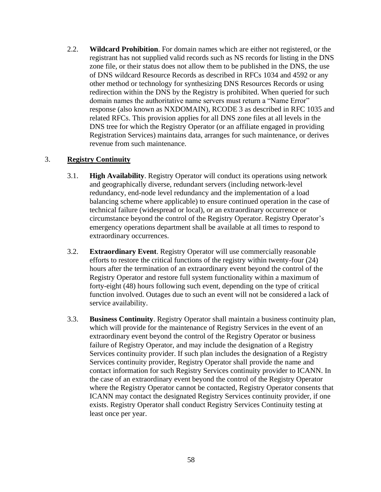2.2. **Wildcard Prohibition**. For domain names which are either not registered, or the registrant has not supplied valid records such as NS records for listing in the DNS zone file, or their status does not allow them to be published in the DNS, the use of DNS wildcard Resource Records as described in RFCs 1034 and 4592 or any other method or technology for synthesizing DNS Resources Records or using redirection within the DNS by the Registry is prohibited. When queried for such domain names the authoritative name servers must return a "Name Error" response (also known as NXDOMAIN), RCODE 3 as described in RFC 1035 and related RFCs. This provision applies for all DNS zone files at all levels in the DNS tree for which the Registry Operator (or an affiliate engaged in providing Registration Services) maintains data, arranges for such maintenance, or derives revenue from such maintenance.

#### 3. **Registry Continuity**

- 3.1. **High Availability**. Registry Operator will conduct its operations using network and geographically diverse, redundant servers (including network-level redundancy, end-node level redundancy and the implementation of a load balancing scheme where applicable) to ensure continued operation in the case of technical failure (widespread or local), or an extraordinary occurrence or circumstance beyond the control of the Registry Operator. Registry Operator's emergency operations department shall be available at all times to respond to extraordinary occurrences.
- 3.2. **Extraordinary Event**. Registry Operator will use commercially reasonable efforts to restore the critical functions of the registry within twenty-four (24) hours after the termination of an extraordinary event beyond the control of the Registry Operator and restore full system functionality within a maximum of forty-eight (48) hours following such event, depending on the type of critical function involved. Outages due to such an event will not be considered a lack of service availability.
- 3.3. **Business Continuity**. Registry Operator shall maintain a business continuity plan, which will provide for the maintenance of Registry Services in the event of an extraordinary event beyond the control of the Registry Operator or business failure of Registry Operator, and may include the designation of a Registry Services continuity provider. If such plan includes the designation of a Registry Services continuity provider, Registry Operator shall provide the name and contact information for such Registry Services continuity provider to ICANN. In the case of an extraordinary event beyond the control of the Registry Operator where the Registry Operator cannot be contacted, Registry Operator consents that ICANN may contact the designated Registry Services continuity provider, if one exists. Registry Operator shall conduct Registry Services Continuity testing at least once per year.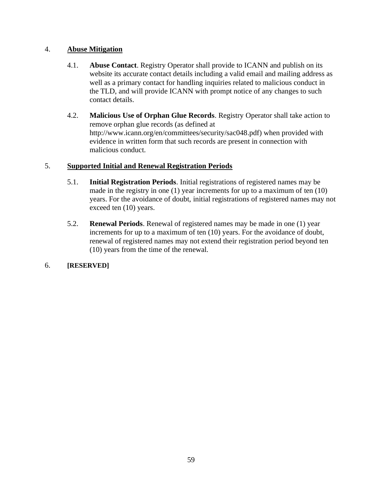# 4. **Abuse Mitigation**

- 4.1. **Abuse Contact**. Registry Operator shall provide to ICANN and publish on its website its accurate contact details including a valid email and mailing address as well as a primary contact for handling inquiries related to malicious conduct in the TLD, and will provide ICANN with prompt notice of any changes to such contact details.
- 4.2. **Malicious Use of Orphan Glue Records**. Registry Operator shall take action to remove orphan glue records (as defined at http://www.icann.org/en/committees/security/sac048.pdf) when provided with evidence in written form that such records are present in connection with malicious conduct.

# 5. **Supported Initial and Renewal Registration Periods**

- 5.1. **Initial Registration Periods**. Initial registrations of registered names may be made in the registry in one (1) year increments for up to a maximum of ten (10) years. For the avoidance of doubt, initial registrations of registered names may not exceed ten (10) years.
- 5.2. **Renewal Periods**. Renewal of registered names may be made in one (1) year increments for up to a maximum of ten (10) years. For the avoidance of doubt, renewal of registered names may not extend their registration period beyond ten (10) years from the time of the renewal.

# 6. **[RESERVED]**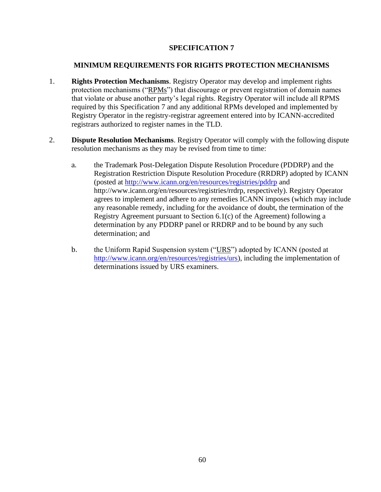## **MINIMUM REQUIREMENTS FOR RIGHTS PROTECTION MECHANISMS**

- 1. **Rights Protection Mechanisms**. Registry Operator may develop and implement rights protection mechanisms ("RPMs") that discourage or prevent registration of domain names that violate or abuse another party's legal rights. Registry Operator will include all RPMS required by this Specification 7 and any additional RPMs developed and implemented by Registry Operator in the registry-registrar agreement entered into by ICANN-accredited registrars authorized to register names in the TLD.
- 2. **Dispute Resolution Mechanisms**. Registry Operator will comply with the following dispute resolution mechanisms as they may be revised from time to time:
	- a. the Trademark Post-Delegation Dispute Resolution Procedure (PDDRP) and the Registration Restriction Dispute Resolution Procedure (RRDRP) adopted by ICANN (posted at<http://www.icann.org/en/resources/registries/pddrp> and http://www.icann.org/en/resources/registries/rrdrp, respectively). Registry Operator agrees to implement and adhere to any remedies ICANN imposes (which may include any reasonable remedy, including for the avoidance of doubt, the termination of the Registry Agreement pursuant to Section 6.1(c) of the Agreement) following a determination by any PDDRP panel or RRDRP and to be bound by any such determination; and
	- b. the Uniform Rapid Suspension system ("URS") adopted by ICANN (posted at http://www.icann.org/en/resources/registries/urs), including the implementation of determinations issued by URS examiners.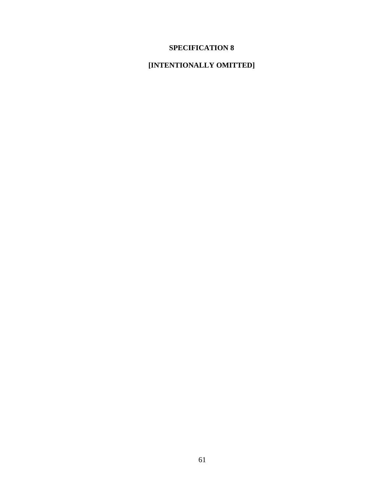# **[INTENTIONALLY OMITTED]**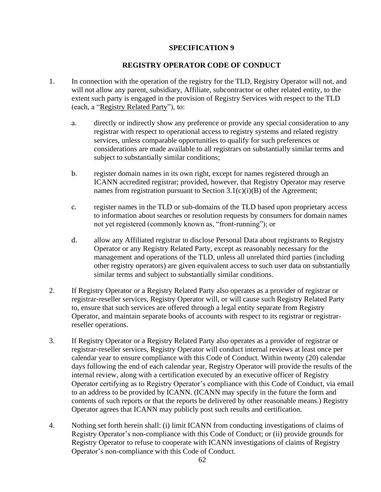# **REGISTRY OPERATOR CODE OF CONDUCT**

- 1. In connection with the operation of the registry for the TLD, Registry Operator will not, and will not allow any parent, subsidiary, Affiliate, subcontractor or other related entity, to the extent such party is engaged in the provision of Registry Services with respect to the TLD (each, a "Registry Related Party"), to:
	- a. directly or indirectly show any preference or provide any special consideration to any registrar with respect to operational access to registry systems and related registry services, unless comparable opportunities to qualify for such preferences or considerations are made available to all registrars on substantially similar terms and subject to substantially similar conditions;
	- b. register domain names in its own right, except for names registered through an ICANN accredited registrar; provided, however, that Registry Operator may reserve names from registration pursuant to Section  $3.1(c)(i)(B)$  of the Agreement;
	- c. register names in the TLD or sub-domains of the TLD based upon proprietary access to information about searches or resolution requests by consumers for domain names not yet registered (commonly known as, "front-running"); or
	- d. allow any Affiliated registrar to disclose Personal Data about registrants to Registry Operator or any Registry Related Party, except as reasonably necessary for the management and operations of the TLD, unless all unrelated third parties (including other registry operators) are given equivalent access to such user data on substantially similar terms and subject to substantially similar conditions.
- 2. If Registry Operator or a Registry Related Party also operates as a provider of registrar or registrar-reseller services, Registry Operator will, or will cause such Registry Related Party to, ensure that such services are offered through a legal entity separate from Registry Operator, and maintain separate books of accounts with respect to its registrar or registrarreseller operations.
- 3. If Registry Operator or a Registry Related Party also operates as a provider of registrar or registrar-reseller services, Registry Operator will conduct internal reviews at least once per calendar year to ensure compliance with this Code of Conduct. Within twenty (20) calendar days following the end of each calendar year, Registry Operator will provide the results of the internal review, along with a certification executed by an executive officer of Registry Operator certifying as to Registry Operator's compliance with this Code of Conduct, via email to an address to be provided by ICANN. (ICANN may specify in the future the form and contents of such reports or that the reports be delivered by other reasonable means.) Registry Operator agrees that ICANN may publicly post such results and certification.
- 4. Nothing set forth herein shall: (i) limit ICANN from conducting investigations of claims of Registry Operator's non-compliance with this Code of Conduct; or (ii) provide grounds for Registry Operator to refuse to cooperate with ICANN investigations of claims of Registry Operator's non-compliance with this Code of Conduct.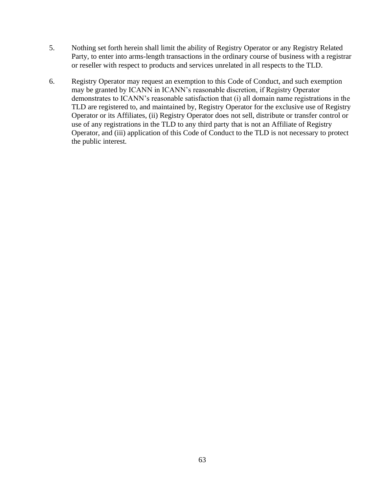- 5. Nothing set forth herein shall limit the ability of Registry Operator or any Registry Related Party, to enter into arms-length transactions in the ordinary course of business with a registrar or reseller with respect to products and services unrelated in all respects to the TLD.
- 6. Registry Operator may request an exemption to this Code of Conduct, and such exemption may be granted by ICANN in ICANN's reasonable discretion, if Registry Operator demonstrates to ICANN's reasonable satisfaction that (i) all domain name registrations in the TLD are registered to, and maintained by, Registry Operator for the exclusive use of Registry Operator or its Affiliates, (ii) Registry Operator does not sell, distribute or transfer control or use of any registrations in the TLD to any third party that is not an Affiliate of Registry Operator, and (iii) application of this Code of Conduct to the TLD is not necessary to protect the public interest.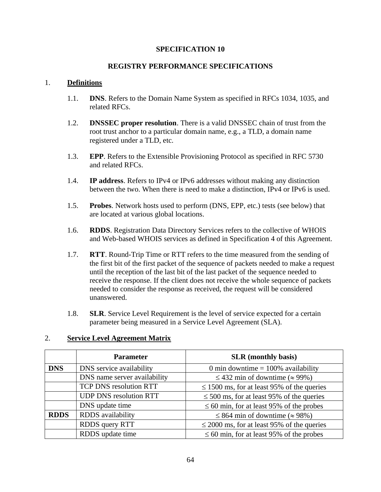# **REGISTRY PERFORMANCE SPECIFICATIONS**

#### 1. **Definitions**

- 1.1. **DNS**. Refers to the Domain Name System as specified in RFCs 1034, 1035, and related RFCs.
- 1.2. **DNSSEC proper resolution**. There is a valid DNSSEC chain of trust from the root trust anchor to a particular domain name, e.g., a TLD, a domain name registered under a TLD, etc.
- 1.3. **EPP**. Refers to the Extensible Provisioning Protocol as specified in RFC 5730 and related RFCs.
- 1.4. **IP address**. Refers to IPv4 or IPv6 addresses without making any distinction between the two. When there is need to make a distinction, IPv4 or IPv6 is used.
- 1.5. **Probes**. Network hosts used to perform (DNS, EPP, etc.) tests (see below) that are located at various global locations.
- 1.6. **RDDS**. Registration Data Directory Services refers to the collective of WHOIS and Web-based WHOIS services as defined in Specification 4 of this Agreement.
- 1.7. **RTT**. Round-Trip Time or RTT refers to the time measured from the sending of the first bit of the first packet of the sequence of packets needed to make a request until the reception of the last bit of the last packet of the sequence needed to receive the response. If the client does not receive the whole sequence of packets needed to consider the response as received, the request will be considered unanswered.
- 1.8. **SLR**. Service Level Requirement is the level of service expected for a certain parameter being measured in a Service Level Agreement (SLA).

#### 2. **Service Level Agreement Matrix**

|             | <b>Parameter</b>                                                                | <b>SLR</b> (monthly basis)                    |  |
|-------------|---------------------------------------------------------------------------------|-----------------------------------------------|--|
| <b>DNS</b>  | DNS service availability                                                        | 0 min downtime $= 100\%$ availability         |  |
|             | DNS name server availability                                                    | $\leq$ 432 min of downtime ( $\approx$ 99%)   |  |
|             | TCP DNS resolution RTT<br>$\leq$ 1500 ms, for at least 95% of the queries       |                                               |  |
|             | <b>UDP DNS</b> resolution RTT<br>$\leq$ 500 ms, for at least 95% of the queries |                                               |  |
|             | DNS update time<br>$\leq 60$ min, for at least 95% of the probes                |                                               |  |
| <b>RDDS</b> | RDDS availability                                                               | $\leq$ 864 min of downtime ( $\approx$ 98%)   |  |
|             | RDDS query RTT<br>$\leq$ 2000 ms, for at least 95% of the queries               |                                               |  |
|             | RDDS update time                                                                | $\leq 60$ min, for at least 95% of the probes |  |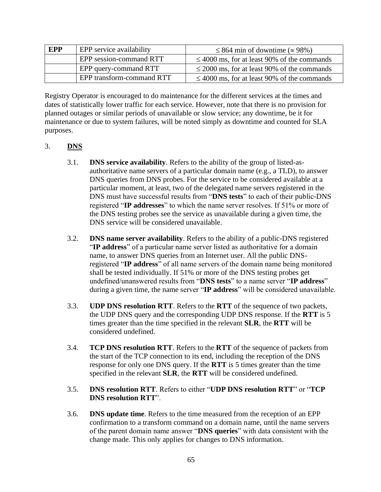| <b>EPP</b> | EPP service availability  | $\leq$ 864 min of downtime ( $\approx$ 98%)      |  |
|------------|---------------------------|--------------------------------------------------|--|
|            | EPP session-command RTT   | $\leq 4000$ ms, for at least 90% of the commands |  |
|            | EPP query-command RTT     | $\leq$ 2000 ms, for at least 90% of the commands |  |
|            | EPP transform-command RTT | $\leq 4000$ ms, for at least 90% of the commands |  |

Registry Operator is encouraged to do maintenance for the different services at the times and dates of statistically lower traffic for each service. However, note that there is no provision for planned outages or similar periods of unavailable or slow service; any downtime, be it for maintenance or due to system failures, will be noted simply as downtime and counted for SLA purposes.

# 3. **DNS**

- 3.1. **DNS service availability**. Refers to the ability of the group of listed-asauthoritative name servers of a particular domain name (e.g., a TLD), to answer DNS queries from DNS probes. For the service to be considered available at a particular moment, at least, two of the delegated name servers registered in the DNS must have successful results from "**DNS tests**" to each of their public-DNS registered "**IP addresses**" to which the name server resolves. If 51% or more of the DNS testing probes see the service as unavailable during a given time, the DNS service will be considered unavailable.
- 3.2. **DNS name server availability**. Refers to the ability of a public-DNS registered "**IP address**" of a particular name server listed as authoritative for a domain name, to answer DNS queries from an Internet user. All the public DNSregistered "**IP address**" of all name servers of the domain name being monitored shall be tested individually. If 51% or more of the DNS testing probes get undefined/unanswered results from "**DNS tests**" to a name server "**IP address**" during a given time, the name server "**IP address**" will be considered unavailable.
- 3.3. **UDP DNS resolution RTT**. Refers to the **RTT** of the sequence of two packets, the UDP DNS query and the corresponding UDP DNS response. If the **RTT** is 5 times greater than the time specified in the relevant **SLR**, the **RTT** will be considered undefined.
- 3.4. **TCP DNS resolution RTT**. Refers to the **RTT** of the sequence of packets from the start of the TCP connection to its end, including the reception of the DNS response for only one DNS query. If the **RTT** is 5 times greater than the time specified in the relevant **SLR**, the **RTT** will be considered undefined.
- 3.5. **DNS resolution RTT**. Refers to either "**UDP DNS resolution RTT**" or "**TCP DNS resolution RTT**".
- 3.6. **DNS update time**. Refers to the time measured from the reception of an EPP confirmation to a transform command on a domain name, until the name servers of the parent domain name answer "**DNS queries**" with data consistent with the change made. This only applies for changes to DNS information.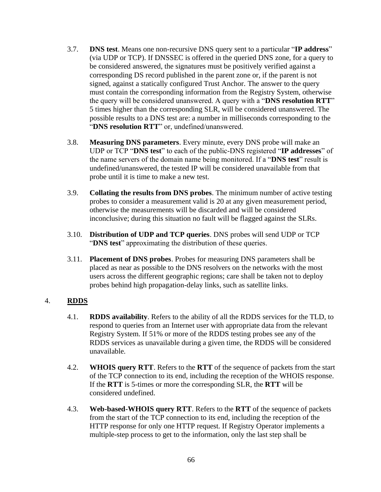- 3.7. **DNS test**. Means one non-recursive DNS query sent to a particular "**IP address**" (via UDP or TCP). If DNSSEC is offered in the queried DNS zone, for a query to be considered answered, the signatures must be positively verified against a corresponding DS record published in the parent zone or, if the parent is not signed, against a statically configured Trust Anchor. The answer to the query must contain the corresponding information from the Registry System, otherwise the query will be considered unanswered. A query with a "**DNS resolution RTT**" 5 times higher than the corresponding SLR, will be considered unanswered. The possible results to a DNS test are: a number in milliseconds corresponding to the "**DNS resolution RTT**" or, undefined/unanswered.
- 3.8. **Measuring DNS parameters**. Every minute, every DNS probe will make an UDP or TCP "**DNS test**" to each of the public-DNS registered "**IP addresses**" of the name servers of the domain name being monitored. If a "**DNS test**" result is undefined/unanswered, the tested IP will be considered unavailable from that probe until it is time to make a new test.
- 3.9. **Collating the results from DNS probes**. The minimum number of active testing probes to consider a measurement valid is 20 at any given measurement period, otherwise the measurements will be discarded and will be considered inconclusive; during this situation no fault will be flagged against the SLRs.
- 3.10. **Distribution of UDP and TCP queries**. DNS probes will send UDP or TCP "**DNS test**" approximating the distribution of these queries.
- 3.11. **Placement of DNS probes**. Probes for measuring DNS parameters shall be placed as near as possible to the DNS resolvers on the networks with the most users across the different geographic regions; care shall be taken not to deploy probes behind high propagation-delay links, such as satellite links.

# 4. **RDDS**

- 4.1. **RDDS availability**. Refers to the ability of all the RDDS services for the TLD, to respond to queries from an Internet user with appropriate data from the relevant Registry System. If 51% or more of the RDDS testing probes see any of the RDDS services as unavailable during a given time, the RDDS will be considered unavailable.
- 4.2. **WHOIS query RTT**. Refers to the **RTT** of the sequence of packets from the start of the TCP connection to its end, including the reception of the WHOIS response. If the **RTT** is 5-times or more the corresponding SLR, the **RTT** will be considered undefined.
- 4.3. **Web-based-WHOIS query RTT**. Refers to the **RTT** of the sequence of packets from the start of the TCP connection to its end, including the reception of the HTTP response for only one HTTP request. If Registry Operator implements a multiple-step process to get to the information, only the last step shall be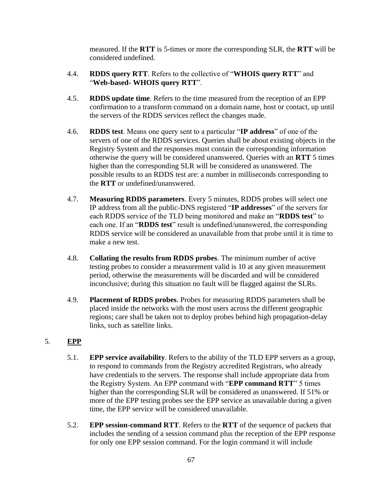measured. If the **RTT** is 5-times or more the corresponding SLR, the **RTT** will be considered undefined.

- 4.4. **RDDS query RTT**. Refers to the collective of "**WHOIS query RTT**" and "**Web-based- WHOIS query RTT**".
- 4.5. **RDDS update time**. Refers to the time measured from the reception of an EPP confirmation to a transform command on a domain name, host or contact, up until the servers of the RDDS services reflect the changes made.
- 4.6. **RDDS test**. Means one query sent to a particular "**IP address**" of one of the servers of one of the RDDS services. Queries shall be about existing objects in the Registry System and the responses must contain the corresponding information otherwise the query will be considered unanswered. Queries with an **RTT** 5 times higher than the corresponding SLR will be considered as unanswered. The possible results to an RDDS test are: a number in milliseconds corresponding to the **RTT** or undefined/unanswered.
- 4.7. **Measuring RDDS parameters**. Every 5 minutes, RDDS probes will select one IP address from all the public-DNS registered "**IP addresses**" of the servers for each RDDS service of the TLD being monitored and make an "**RDDS test**" to each one. If an "**RDDS test**" result is undefined/unanswered, the corresponding RDDS service will be considered as unavailable from that probe until it is time to make a new test.
- 4.8. **Collating the results from RDDS probes**. The minimum number of active testing probes to consider a measurement valid is 10 at any given measurement period, otherwise the measurements will be discarded and will be considered inconclusive; during this situation no fault will be flagged against the SLRs.
- 4.9. **Placement of RDDS probes**. Probes for measuring RDDS parameters shall be placed inside the networks with the most users across the different geographic regions; care shall be taken not to deploy probes behind high propagation-delay links, such as satellite links.

# 5. **EPP**

- 5.1. **EPP service availability**. Refers to the ability of the TLD EPP servers as a group, to respond to commands from the Registry accredited Registrars, who already have credentials to the servers. The response shall include appropriate data from the Registry System. An EPP command with "**EPP command RTT**" 5 times higher than the corresponding SLR will be considered as unanswered. If 51% or more of the EPP testing probes see the EPP service as unavailable during a given time, the EPP service will be considered unavailable.
- 5.2. **EPP session-command RTT**. Refers to the **RTT** of the sequence of packets that includes the sending of a session command plus the reception of the EPP response for only one EPP session command. For the login command it will include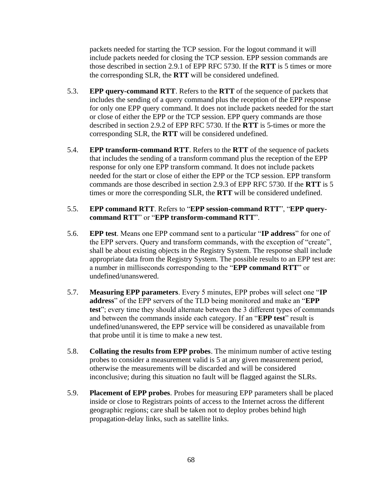packets needed for starting the TCP session. For the logout command it will include packets needed for closing the TCP session. EPP session commands are those described in section 2.9.1 of EPP RFC 5730. If the **RTT** is 5 times or more the corresponding SLR, the **RTT** will be considered undefined.

- 5.3. **EPP query-command RTT**. Refers to the **RTT** of the sequence of packets that includes the sending of a query command plus the reception of the EPP response for only one EPP query command. It does not include packets needed for the start or close of either the EPP or the TCP session. EPP query commands are those described in section 2.9.2 of EPP RFC 5730. If the **RTT** is 5-times or more the corresponding SLR, the **RTT** will be considered undefined.
- 5.4. **EPP transform-command RTT**. Refers to the **RTT** of the sequence of packets that includes the sending of a transform command plus the reception of the EPP response for only one EPP transform command. It does not include packets needed for the start or close of either the EPP or the TCP session. EPP transform commands are those described in section 2.9.3 of EPP RFC 5730. If the **RTT** is 5 times or more the corresponding SLR, the **RTT** will be considered undefined.

## 5.5. **EPP command RTT**. Refers to "**EPP session-command RTT**", "**EPP querycommand RTT**" or "**EPP transform-command RTT**".

- 5.6. **EPP test**. Means one EPP command sent to a particular "**IP address**" for one of the EPP servers. Query and transform commands, with the exception of "create", shall be about existing objects in the Registry System. The response shall include appropriate data from the Registry System. The possible results to an EPP test are: a number in milliseconds corresponding to the "**EPP command RTT**" or undefined/unanswered.
- 5.7. **Measuring EPP parameters**. Every 5 minutes, EPP probes will select one "**IP address**" of the EPP servers of the TLD being monitored and make an "**EPP test**"; every time they should alternate between the 3 different types of commands and between the commands inside each category. If an "**EPP test**" result is undefined/unanswered, the EPP service will be considered as unavailable from that probe until it is time to make a new test.
- 5.8. **Collating the results from EPP probes**. The minimum number of active testing probes to consider a measurement valid is 5 at any given measurement period, otherwise the measurements will be discarded and will be considered inconclusive; during this situation no fault will be flagged against the SLRs.
- 5.9. **Placement of EPP probes**. Probes for measuring EPP parameters shall be placed inside or close to Registrars points of access to the Internet across the different geographic regions; care shall be taken not to deploy probes behind high propagation-delay links, such as satellite links.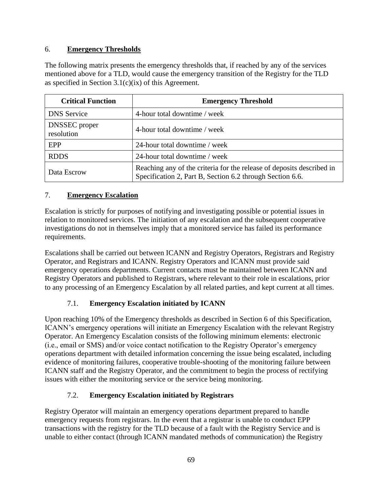# 6. **Emergency Thresholds**

The following matrix presents the emergency thresholds that, if reached by any of the services mentioned above for a TLD, would cause the emergency transition of the Registry for the TLD as specified in Section  $3.1(c)(ix)$  of this Agreement.

| <b>Critical Function</b>    | <b>Emergency Threshold</b>                                                                                                         |
|-----------------------------|------------------------------------------------------------------------------------------------------------------------------------|
| <b>DNS</b> Service          | 4-hour total downtime / week                                                                                                       |
| DNSSEC proper<br>resolution | 4-hour total downtime / week                                                                                                       |
| EPP                         | 24-hour total downtime / week                                                                                                      |
| <b>RDDS</b>                 | 24-hour total downtime / week                                                                                                      |
| Data Escrow                 | Reaching any of the criteria for the release of deposits described in<br>Specification 2, Part B, Section 6.2 through Section 6.6. |

# 7. **Emergency Escalation**

Escalation is strictly for purposes of notifying and investigating possible or potential issues in relation to monitored services. The initiation of any escalation and the subsequent cooperative investigations do not in themselves imply that a monitored service has failed its performance requirements.

Escalations shall be carried out between ICANN and Registry Operators, Registrars and Registry Operator, and Registrars and ICANN. Registry Operators and ICANN must provide said emergency operations departments. Current contacts must be maintained between ICANN and Registry Operators and published to Registrars, where relevant to their role in escalations, prior to any processing of an Emergency Escalation by all related parties, and kept current at all times.

# 7.1. **Emergency Escalation initiated by ICANN**

Upon reaching 10% of the Emergency thresholds as described in Section 6 of this Specification, ICANN's emergency operations will initiate an Emergency Escalation with the relevant Registry Operator. An Emergency Escalation consists of the following minimum elements: electronic (i.e., email or SMS) and/or voice contact notification to the Registry Operator's emergency operations department with detailed information concerning the issue being escalated, including evidence of monitoring failures, cooperative trouble-shooting of the monitoring failure between ICANN staff and the Registry Operator, and the commitment to begin the process of rectifying issues with either the monitoring service or the service being monitoring.

# 7.2. **Emergency Escalation initiated by Registrars**

Registry Operator will maintain an emergency operations department prepared to handle emergency requests from registrars. In the event that a registrar is unable to conduct EPP transactions with the registry for the TLD because of a fault with the Registry Service and is unable to either contact (through ICANN mandated methods of communication) the Registry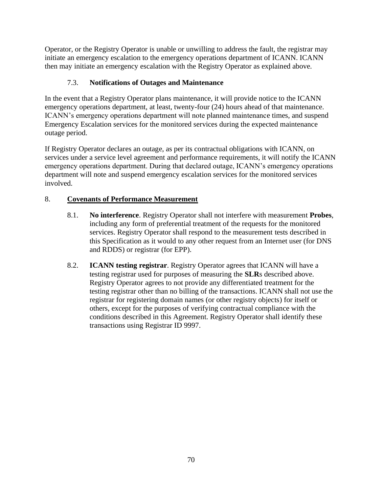Operator, or the Registry Operator is unable or unwilling to address the fault, the registrar may initiate an emergency escalation to the emergency operations department of ICANN. ICANN then may initiate an emergency escalation with the Registry Operator as explained above.

# 7.3. **Notifications of Outages and Maintenance**

In the event that a Registry Operator plans maintenance, it will provide notice to the ICANN emergency operations department, at least, twenty-four (24) hours ahead of that maintenance. ICANN's emergency operations department will note planned maintenance times, and suspend Emergency Escalation services for the monitored services during the expected maintenance outage period.

If Registry Operator declares an outage, as per its contractual obligations with ICANN, on services under a service level agreement and performance requirements, it will notify the ICANN emergency operations department. During that declared outage, ICANN's emergency operations department will note and suspend emergency escalation services for the monitored services involved.

# 8. **Covenants of Performance Measurement**

- 8.1. **No interference**. Registry Operator shall not interfere with measurement **Probes**, including any form of preferential treatment of the requests for the monitored services. Registry Operator shall respond to the measurement tests described in this Specification as it would to any other request from an Internet user (for DNS and RDDS) or registrar (for EPP).
- 8.2. **ICANN testing registrar**. Registry Operator agrees that ICANN will have a testing registrar used for purposes of measuring the **SLR**s described above. Registry Operator agrees to not provide any differentiated treatment for the testing registrar other than no billing of the transactions. ICANN shall not use the registrar for registering domain names (or other registry objects) for itself or others, except for the purposes of verifying contractual compliance with the conditions described in this Agreement. Registry Operator shall identify these transactions using Registrar ID 9997.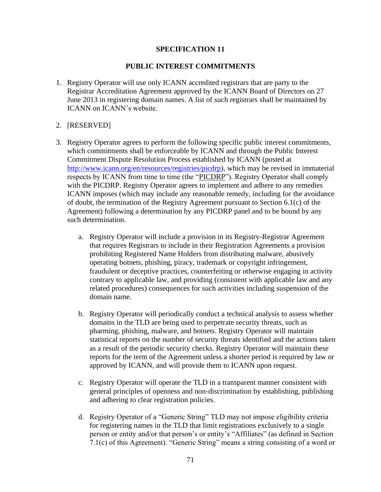# **PUBLIC INTEREST COMMITMENTS**

- 1. Registry Operator will use only ICANN accredited registrars that are party to the Registrar Accreditation Agreement approved by the ICANN Board of Directors on 27 June 2013 in registering domain names. A list of such registrars shall be maintained by ICANN on ICANN's website.
- 2. [RESERVED]
- 3. Registry Operator agrees to perform the following specific public interest commitments, which commitments shall be enforceable by ICANN and through the Public Interest Commitment Dispute Resolution Process established by ICANN (posted at [http://www.icann.org/en/resources/registries/picdrp\)](http://www.icann.org/en/resources/registries/picdrp), which may be revised in immaterial respects by ICANN from time to time (the "PICDRP"). Registry Operator shall comply with the PICDRP. Registry Operator agrees to implement and adhere to any remedies ICANN imposes (which may include any reasonable remedy, including for the avoidance of doubt, the termination of the Registry Agreement pursuant to Section 6.1(c) of the Agreement) following a determination by any PICDRP panel and to be bound by any such determination.
	- a. Registry Operator will include a provision in its Registry-Registrar Agreement that requires Registrars to include in their Registration Agreements a provision prohibiting Registered Name Holders from distributing malware, abusively operating botnets, phishing, piracy, trademark or copyright infringement, fraudulent or deceptive practices, counterfeiting or otherwise engaging in activity contrary to applicable law, and providing (consistent with applicable law and any related procedures) consequences for such activities including suspension of the domain name.
	- b. Registry Operator will periodically conduct a technical analysis to assess whether domains in the TLD are being used to perpetrate security threats, such as pharming, phishing, malware, and botnets. Registry Operator will maintain statistical reports on the number of security threats identified and the actions taken as a result of the periodic security checks. Registry Operator will maintain these reports for the term of the Agreement unless a shorter period is required by law or approved by ICANN, and will provide them to ICANN upon request.
	- c. Registry Operator will operate the TLD in a transparent manner consistent with general principles of openness and non-discrimination by establishing, publishing and adhering to clear registration policies.
	- d. Registry Operator of a "Generic String" TLD may not impose eligibility criteria for registering names in the TLD that limit registrations exclusively to a single person or entity and/or that person's or entity's "Affiliates" (as defined in Section 7.1(c) of this Agreement). "Generic String" means a string consisting of a word or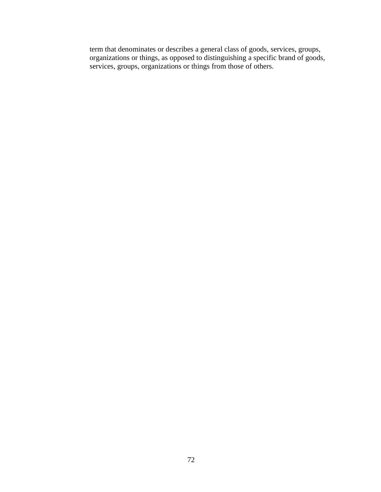term that denominates or describes a general class of goods, services, groups, organizations or things, as opposed to distinguishing a specific brand of goods, services, groups, organizations or things from those of others.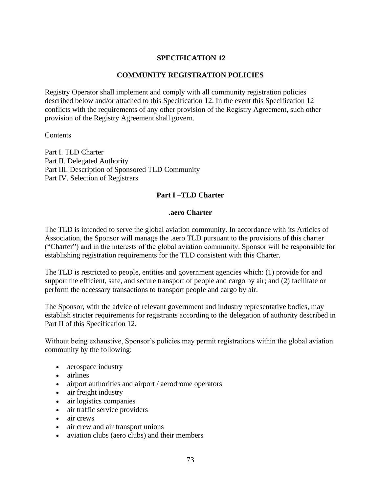## **SPECIFICATION 12**

## **COMMUNITY REGISTRATION POLICIES**

Registry Operator shall implement and comply with all community registration policies described below and/or attached to this Specification 12. In the event this Specification 12 conflicts with the requirements of any other provision of the Registry Agreement, such other provision of the Registry Agreement shall govern.

#### **Contents**

Part I. TLD Charter Part II. Delegated Authority Part III. Description of Sponsored TLD Community Part IV. Selection of Registrars

## **Part I –TLD Charter**

#### **.aero Charter**

The TLD is intended to serve the global aviation community. In accordance with its Articles of Association, the Sponsor will manage the .aero TLD pursuant to the provisions of this charter ("Charter") and in the interests of the global aviation community. Sponsor will be responsible for establishing registration requirements for the TLD consistent with this Charter.

The TLD is restricted to people, entities and government agencies which: (1) provide for and support the efficient, safe, and secure transport of people and cargo by air; and (2) facilitate or perform the necessary transactions to transport people and cargo by air.

The Sponsor, with the advice of relevant government and industry representative bodies, may establish stricter requirements for registrants according to the delegation of authority described in Part II of this Specification 12.

Without being exhaustive, Sponsor's policies may permit registrations within the global aviation community by the following:

- aerospace industry
- airlines
- airport authorities and airport / aerodrome operators
- air freight industry
- air logistics companies
- air traffic service providers
- air crews
- air crew and air transport unions
- aviation clubs (aero clubs) and their members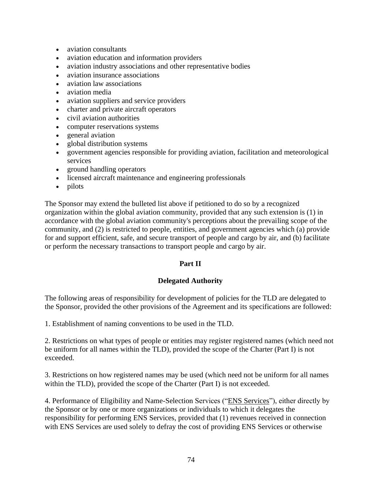- aviation consultants
- aviation education and information providers
- aviation industry associations and other representative bodies
- aviation insurance associations
- aviation law associations
- aviation media
- aviation suppliers and service providers
- charter and private aircraft operators
- civil aviation authorities
- computer reservations systems
- general aviation
- global distribution systems
- government agencies responsible for providing aviation, facilitation and meteorological services
- ground handling operators
- licensed aircraft maintenance and engineering professionals
- pilots

The Sponsor may extend the bulleted list above if petitioned to do so by a recognized organization within the global aviation community, provided that any such extension is (1) in accordance with the global aviation community's perceptions about the prevailing scope of the community, and (2) is restricted to people, entities, and government agencies which (a) provide for and support efficient, safe, and secure transport of people and cargo by air, and (b) facilitate or perform the necessary transactions to transport people and cargo by air.

# **Part II**

## **Delegated Authority**

The following areas of responsibility for development of policies for the TLD are delegated to the Sponsor, provided the other provisions of the Agreement and its specifications are followed:

1. Establishment of naming conventions to be used in the TLD.

2. Restrictions on what types of people or entities may register registered names (which need not be uniform for all names within the TLD), provided the scope of the Charter (Part I) is not exceeded.

3. Restrictions on how registered names may be used (which need not be uniform for all names within the TLD), provided the scope of the Charter (Part I) is not exceeded.

4. Performance of Eligibility and Name-Selection Services ("ENS Services"), either directly by the Sponsor or by one or more organizations or individuals to which it delegates the responsibility for performing ENS Services, provided that (1) revenues received in connection with ENS Services are used solely to defray the cost of providing ENS Services or otherwise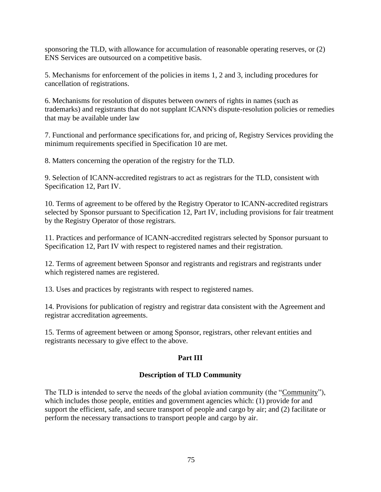sponsoring the TLD, with allowance for accumulation of reasonable operating reserves, or (2) ENS Services are outsourced on a competitive basis.

5. Mechanisms for enforcement of the policies in items 1, 2 and 3, including procedures for cancellation of registrations.

6. Mechanisms for resolution of disputes between owners of rights in names (such as trademarks) and registrants that do not supplant ICANN's dispute-resolution policies or remedies that may be available under law

7. Functional and performance specifications for, and pricing of, Registry Services providing the minimum requirements specified in Specification 10 are met.

8. Matters concerning the operation of the registry for the TLD.

9. Selection of ICANN-accredited registrars to act as registrars for the TLD, consistent with Specification 12, Part IV.

10. Terms of agreement to be offered by the Registry Operator to ICANN-accredited registrars selected by Sponsor pursuant to Specification 12, Part IV, including provisions for fair treatment by the Registry Operator of those registrars.

11. Practices and performance of ICANN-accredited registrars selected by Sponsor pursuant to Specification 12, Part IV with respect to registered names and their registration.

12. Terms of agreement between Sponsor and registrants and registrars and registrants under which registered names are registered.

13. Uses and practices by registrants with respect to registered names.

14. Provisions for publication of registry and registrar data consistent with the Agreement and registrar accreditation agreements.

15. Terms of agreement between or among Sponsor, registrars, other relevant entities and registrants necessary to give effect to the above.

# **Part III**

# **Description of TLD Community**

The TLD is intended to serve the needs of the global aviation community (the "Community"), which includes those people, entities and government agencies which: (1) provide for and support the efficient, safe, and secure transport of people and cargo by air; and (2) facilitate or perform the necessary transactions to transport people and cargo by air.